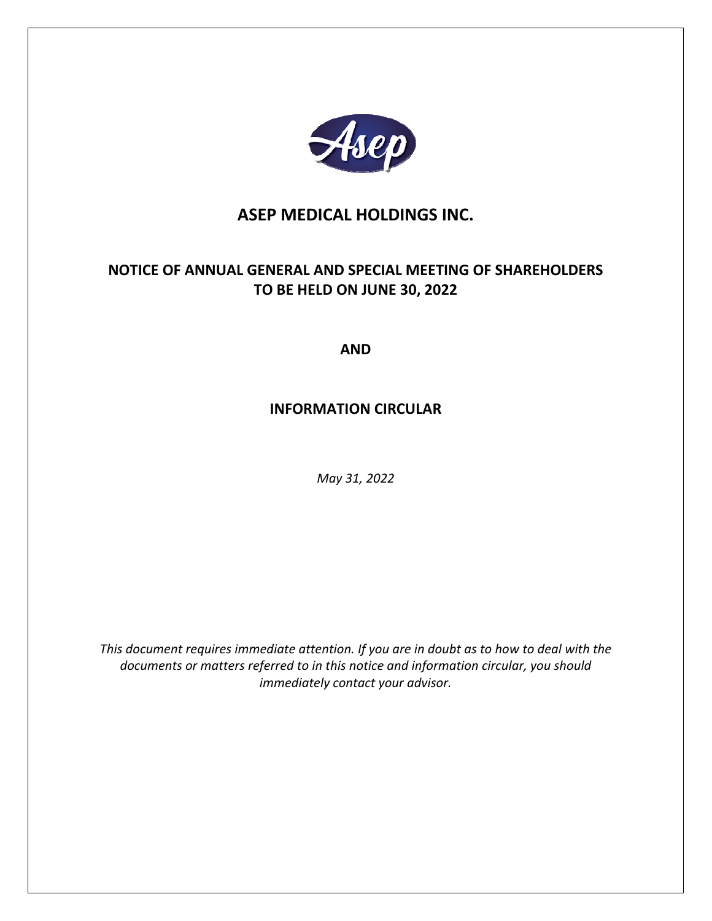

# **ASEP MEDICAL HOLDINGS INC.**

# **NOTICE OF ANNUAL GENERAL AND SPECIAL MEETING OF SHAREHOLDERS TO BE HELD ON JUNE 30, 2022**

**AND** 

# **INFORMATION CIRCULAR**

*May 31, 2022* 

*This document requires immediate attention. If you are in doubt as to how to deal with the documents or matters referred to in this notice and information circular, you should immediately contact your advisor.*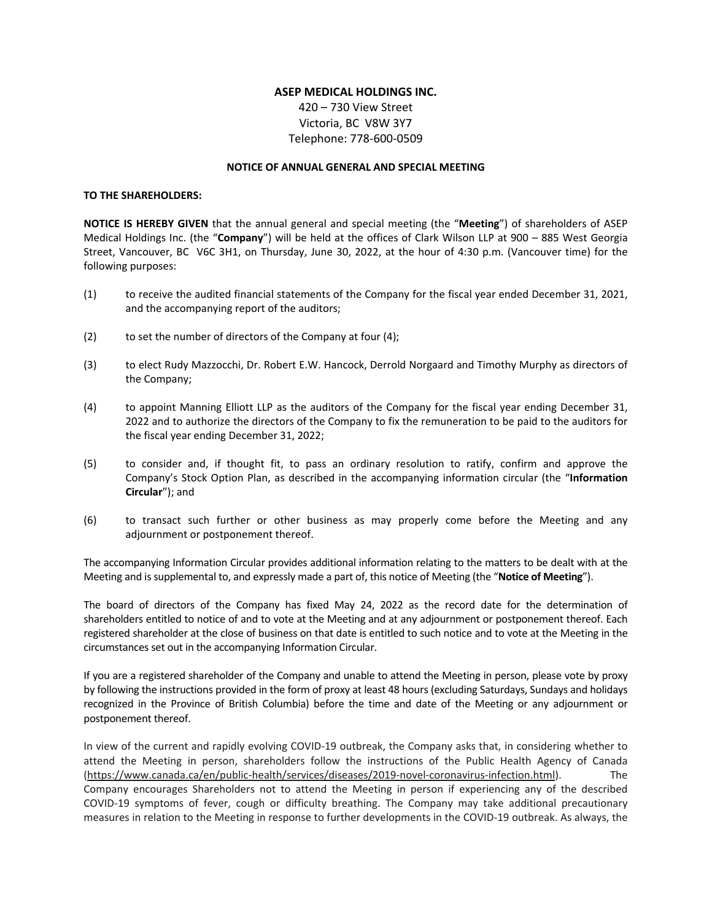# **ASEP MEDICAL HOLDINGS INC.**

420 – 730 View Street Victoria, BC V8W 3Y7 Telephone: 778‐600‐0509

## **NOTICE OF ANNUAL GENERAL AND SPECIAL MEETING**

#### **TO THE SHAREHOLDERS:**

**NOTICE IS HEREBY GIVEN** that the annual general and special meeting (the "**Meeting**") of shareholders of ASEP Medical Holdings Inc. (the "**Company**") will be held at the offices of Clark Wilson LLP at 900 – 885 West Georgia Street, Vancouver, BC V6C 3H1, on Thursday, June 30, 2022, at the hour of 4:30 p.m. (Vancouver time) for the following purposes:

- (1) to receive the audited financial statements of the Company for the fiscal year ended December 31, 2021, and the accompanying report of the auditors;
- (2) to set the number of directors of the Company at four (4);
- (3) to elect Rudy Mazzocchi, Dr. Robert E.W. Hancock, Derrold Norgaard and Timothy Murphy as directors of the Company;
- (4) to appoint Manning Elliott LLP as the auditors of the Company for the fiscal year ending December 31, 2022 and to authorize the directors of the Company to fix the remuneration to be paid to the auditors for the fiscal year ending December 31, 2022;
- (5) to consider and, if thought fit, to pass an ordinary resolution to ratify, confirm and approve the Company's Stock Option Plan, as described in the accompanying information circular (the "**Information Circular**"); and
- (6) to transact such further or other business as may properly come before the Meeting and any adjournment or postponement thereof.

The accompanying Information Circular provides additional information relating to the matters to be dealt with at the Meeting and is supplemental to, and expressly made a part of, this notice of Meeting (the "**Notice of Meeting**").

The board of directors of the Company has fixed May 24, 2022 as the record date for the determination of shareholders entitled to notice of and to vote at the Meeting and at any adjournment or postponement thereof. Each registered shareholder at the close of business on that date is entitled to such notice and to vote at the Meeting in the circumstances set out in the accompanying Information Circular.

If you are a registered shareholder of the Company and unable to attend the Meeting in person, please vote by proxy by following the instructions provided in the form of proxy at least 48 hours (excluding Saturdays, Sundays and holidays recognized in the Province of British Columbia) before the time and date of the Meeting or any adjournment or postponement thereof.

In view of the current and rapidly evolving COVID‐19 outbreak, the Company asks that, in considering whether to attend the Meeting in person, shareholders follow the instructions of the Public Health Agency of Canada (https://www.canada.ca/en/public‐health/services/diseases/2019‐novel‐coronavirus‐infection.html). The Company encourages Shareholders not to attend the Meeting in person if experiencing any of the described COVID‐19 symptoms of fever, cough or difficulty breathing. The Company may take additional precautionary measures in relation to the Meeting in response to further developments in the COVID‐19 outbreak. As always, the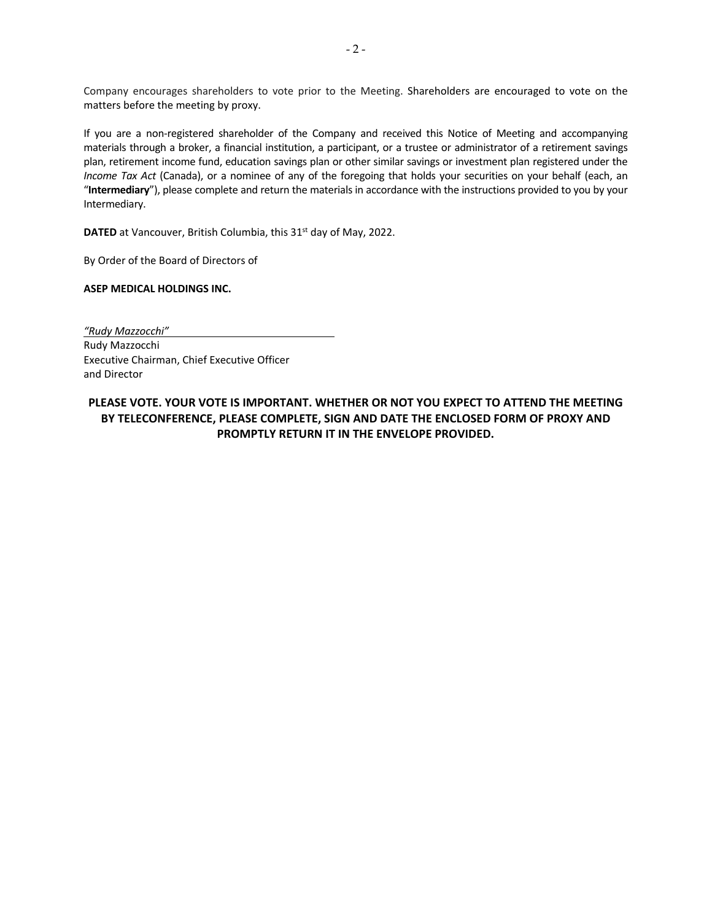Company encourages shareholders to vote prior to the Meeting. Shareholders are encouraged to vote on the matters before the meeting by proxy.

If you are a non-registered shareholder of the Company and received this Notice of Meeting and accompanying materials through a broker, a financial institution, a participant, or a trustee or administrator of a retirement savings plan, retirement income fund, education savings plan or other similar savings or investment plan registered under the *Income Tax Act* (Canada), or a nominee of any of the foregoing that holds your securities on your behalf (each, an "**Intermediary**"), please complete and return the materials in accordance with the instructions provided to you by your Intermediary.

**DATED** at Vancouver, British Columbia, this 31<sup>st</sup> day of May, 2022.

By Order of the Board of Directors of

**ASEP MEDICAL HOLDINGS INC.** 

*"Rudy Mazzocchi"*  Rudy Mazzocchi Executive Chairman, Chief Executive Officer and Director

**PLEASE VOTE. YOUR VOTE IS IMPORTANT. WHETHER OR NOT YOU EXPECT TO ATTEND THE MEETING BY TELECONFERENCE, PLEASE COMPLETE, SIGN AND DATE THE ENCLOSED FORM OF PROXY AND PROMPTLY RETURN IT IN THE ENVELOPE PROVIDED.**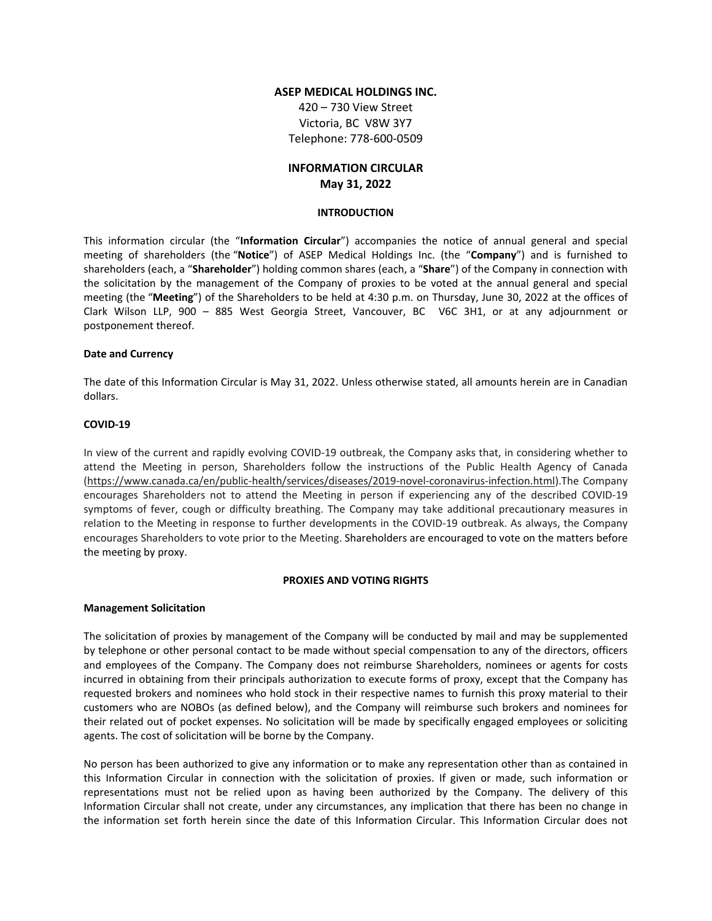# **ASEP MEDICAL HOLDINGS INC.**

420 – 730 View Street Victoria, BC V8W 3Y7 Telephone: 778‐600‐0509

# **INFORMATION CIRCULAR May 31, 2022**

### **INTRODUCTION**

This information circular (the "**Information Circular**") accompanies the notice of annual general and special meeting of shareholders (the "**Notice**") of ASEP Medical Holdings Inc. (the "**Company**") and is furnished to shareholders (each, a "**Shareholder**") holding common shares (each, a "**Share**") of the Company in connection with the solicitation by the management of the Company of proxies to be voted at the annual general and special meeting (the "**Meeting**") of the Shareholders to be held at 4:30 p.m. on Thursday, June 30, 2022 at the offices of Clark Wilson LLP, 900 – 885 West Georgia Street, Vancouver, BC V6C 3H1, or at any adjournment or postponement thereof.

#### **Date and Currency**

The date of this Information Circular is May 31, 2022. Unless otherwise stated, all amounts herein are in Canadian dollars.

#### **COVID‐19**

In view of the current and rapidly evolving COVID‐19 outbreak, the Company asks that, in considering whether to attend the Meeting in person, Shareholders follow the instructions of the Public Health Agency of Canada (https://www.canada.ca/en/public‐health/services/diseases/2019‐novel‐coronavirus‐infection.html).The Company encourages Shareholders not to attend the Meeting in person if experiencing any of the described COVID‐19 symptoms of fever, cough or difficulty breathing. The Company may take additional precautionary measures in relation to the Meeting in response to further developments in the COVID‐19 outbreak. As always, the Company encourages Shareholders to vote prior to the Meeting. Shareholders are encouraged to vote on the matters before the meeting by proxy.

#### **PROXIES AND VOTING RIGHTS**

#### **Management Solicitation**

The solicitation of proxies by management of the Company will be conducted by mail and may be supplemented by telephone or other personal contact to be made without special compensation to any of the directors, officers and employees of the Company. The Company does not reimburse Shareholders, nominees or agents for costs incurred in obtaining from their principals authorization to execute forms of proxy, except that the Company has requested brokers and nominees who hold stock in their respective names to furnish this proxy material to their customers who are NOBOs (as defined below), and the Company will reimburse such brokers and nominees for their related out of pocket expenses. No solicitation will be made by specifically engaged employees or soliciting agents. The cost of solicitation will be borne by the Company.

No person has been authorized to give any information or to make any representation other than as contained in this Information Circular in connection with the solicitation of proxies. If given or made, such information or representations must not be relied upon as having been authorized by the Company. The delivery of this Information Circular shall not create, under any circumstances, any implication that there has been no change in the information set forth herein since the date of this Information Circular. This Information Circular does not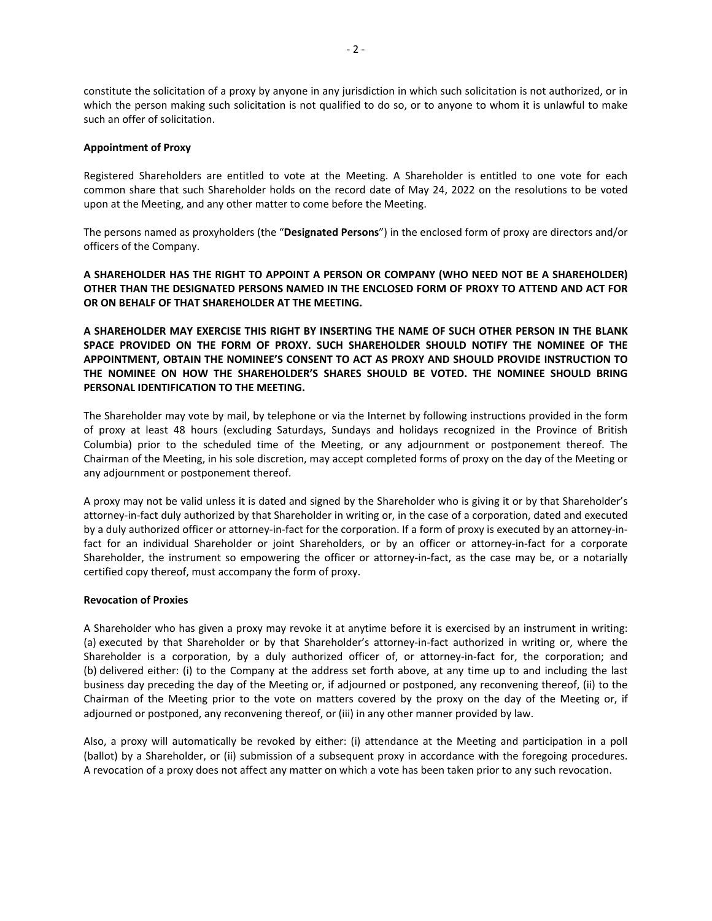constitute the solicitation of a proxy by anyone in any jurisdiction in which such solicitation is not authorized, or in which the person making such solicitation is not qualified to do so, or to anyone to whom it is unlawful to make such an offer of solicitation.

#### **Appointment of Proxy**

Registered Shareholders are entitled to vote at the Meeting. A Shareholder is entitled to one vote for each common share that such Shareholder holds on the record date of May 24, 2022 on the resolutions to be voted upon at the Meeting, and any other matter to come before the Meeting.

The persons named as proxyholders (the "**Designated Persons**") in the enclosed form of proxy are directors and/or officers of the Company.

# **A SHAREHOLDER HAS THE RIGHT TO APPOINT A PERSON OR COMPANY (WHO NEED NOT BE A SHAREHOLDER) OTHER THAN THE DESIGNATED PERSONS NAMED IN THE ENCLOSED FORM OF PROXY TO ATTEND AND ACT FOR OR ON BEHALF OF THAT SHAREHOLDER AT THE MEETING.**

**A SHAREHOLDER MAY EXERCISE THIS RIGHT BY INSERTING THE NAME OF SUCH OTHER PERSON IN THE BLANK SPACE PROVIDED ON THE FORM OF PROXY. SUCH SHAREHOLDER SHOULD NOTIFY THE NOMINEE OF THE APPOINTMENT, OBTAIN THE NOMINEE'S CONSENT TO ACT AS PROXY AND SHOULD PROVIDE INSTRUCTION TO THE NOMINEE ON HOW THE SHAREHOLDER'S SHARES SHOULD BE VOTED. THE NOMINEE SHOULD BRING PERSONAL IDENTIFICATION TO THE MEETING.** 

The Shareholder may vote by mail, by telephone or via the Internet by following instructions provided in the form of proxy at least 48 hours (excluding Saturdays, Sundays and holidays recognized in the Province of British Columbia) prior to the scheduled time of the Meeting, or any adjournment or postponement thereof. The Chairman of the Meeting, in his sole discretion, may accept completed forms of proxy on the day of the Meeting or any adjournment or postponement thereof.

A proxy may not be valid unless it is dated and signed by the Shareholder who is giving it or by that Shareholder's attorney‐in‐fact duly authorized by that Shareholder in writing or, in the case of a corporation, dated and executed by a duly authorized officer or attorney-in-fact for the corporation. If a form of proxy is executed by an attorney-infact for an individual Shareholder or joint Shareholders, or by an officer or attorney-in-fact for a corporate Shareholder, the instrument so empowering the officer or attorney-in-fact, as the case may be, or a notarially certified copy thereof, must accompany the form of proxy.

#### **Revocation of Proxies**

A Shareholder who has given a proxy may revoke it at anytime before it is exercised by an instrument in writing: (a) executed by that Shareholder or by that Shareholder's attorney‐in‐fact authorized in writing or, where the Shareholder is a corporation, by a duly authorized officer of, or attorney-in-fact for, the corporation; and (b) delivered either: (i) to the Company at the address set forth above, at any time up to and including the last business day preceding the day of the Meeting or, if adjourned or postponed, any reconvening thereof, (ii) to the Chairman of the Meeting prior to the vote on matters covered by the proxy on the day of the Meeting or, if adjourned or postponed, any reconvening thereof, or (iii) in any other manner provided by law.

Also, a proxy will automatically be revoked by either: (i) attendance at the Meeting and participation in a poll (ballot) by a Shareholder, or (ii) submission of a subsequent proxy in accordance with the foregoing procedures. A revocation of a proxy does not affect any matter on which a vote has been taken prior to any such revocation.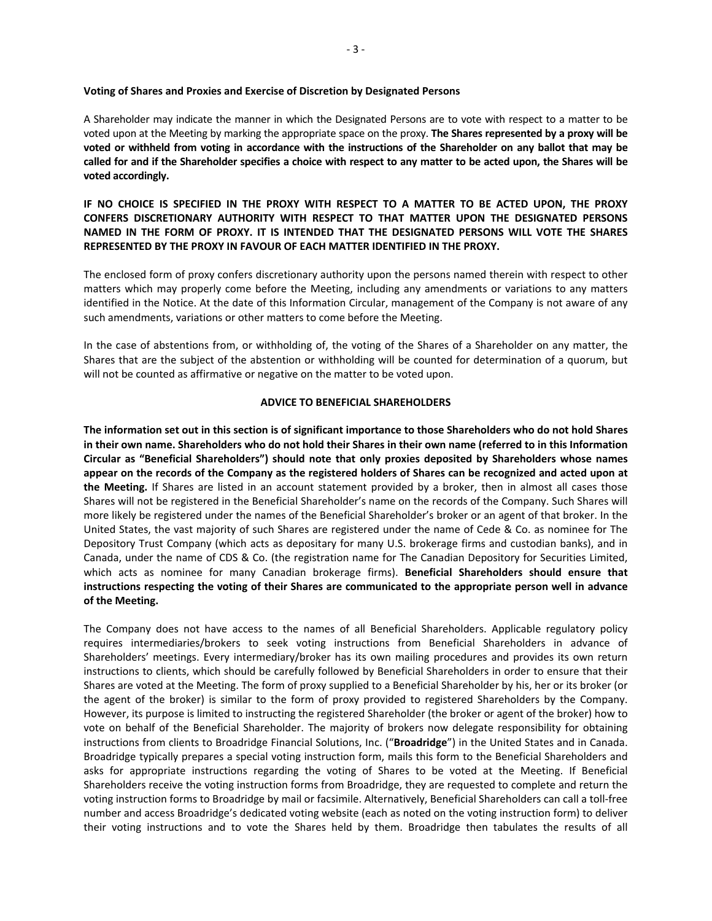#### **Voting of Shares and Proxies and Exercise of Discretion by Designated Persons**

A Shareholder may indicate the manner in which the Designated Persons are to vote with respect to a matter to be voted upon at the Meeting by marking the appropriate space on the proxy. **The Shares represented by a proxy will be voted or withheld from voting in accordance with the instructions of the Shareholder on any ballot that may be called for and if the Shareholder specifies a choice with respect to any matter to be acted upon, the Shares will be voted accordingly.** 

# **IF NO CHOICE IS SPECIFIED IN THE PROXY WITH RESPECT TO A MATTER TO BE ACTED UPON, THE PROXY CONFERS DISCRETIONARY AUTHORITY WITH RESPECT TO THAT MATTER UPON THE DESIGNATED PERSONS NAMED IN THE FORM OF PROXY. IT IS INTENDED THAT THE DESIGNATED PERSONS WILL VOTE THE SHARES REPRESENTED BY THE PROXY IN FAVOUR OF EACH MATTER IDENTIFIED IN THE PROXY.**

The enclosed form of proxy confers discretionary authority upon the persons named therein with respect to other matters which may properly come before the Meeting, including any amendments or variations to any matters identified in the Notice. At the date of this Information Circular, management of the Company is not aware of any such amendments, variations or other matters to come before the Meeting.

In the case of abstentions from, or withholding of, the voting of the Shares of a Shareholder on any matter, the Shares that are the subject of the abstention or withholding will be counted for determination of a quorum, but will not be counted as affirmative or negative on the matter to be voted upon.

#### **ADVICE TO BENEFICIAL SHAREHOLDERS**

**The information set out in this section is of significant importance to those Shareholders who do not hold Shares in their own name. Shareholders who do not hold their Shares in their own name (referred to in this Information Circular as "Beneficial Shareholders") should note that only proxies deposited by Shareholders whose names appear on the records of the Company as the registered holders of Shares can be recognized and acted upon at**  the Meeting. If Shares are listed in an account statement provided by a broker, then in almost all cases those Shares will not be registered in the Beneficial Shareholder's name on the records of the Company. Such Shares will more likely be registered under the names of the Beneficial Shareholder's broker or an agent of that broker. In the United States, the vast majority of such Shares are registered under the name of Cede & Co. as nominee for The Depository Trust Company (which acts as depositary for many U.S. brokerage firms and custodian banks), and in Canada, under the name of CDS & Co. (the registration name for The Canadian Depository for Securities Limited, which acts as nominee for many Canadian brokerage firms). **Beneficial Shareholders should ensure that instructions respecting the voting of their Shares are communicated to the appropriate person well in advance of the Meeting.**

The Company does not have access to the names of all Beneficial Shareholders. Applicable regulatory policy requires intermediaries/brokers to seek voting instructions from Beneficial Shareholders in advance of Shareholders' meetings. Every intermediary/broker has its own mailing procedures and provides its own return instructions to clients, which should be carefully followed by Beneficial Shareholders in order to ensure that their Shares are voted at the Meeting. The form of proxy supplied to a Beneficial Shareholder by his, her or its broker (or the agent of the broker) is similar to the form of proxy provided to registered Shareholders by the Company. However, its purpose is limited to instructing the registered Shareholder (the broker or agent of the broker) how to vote on behalf of the Beneficial Shareholder. The majority of brokers now delegate responsibility for obtaining instructions from clients to Broadridge Financial Solutions, Inc. ("**Broadridge**") in the United States and in Canada. Broadridge typically prepares a special voting instruction form, mails this form to the Beneficial Shareholders and asks for appropriate instructions regarding the voting of Shares to be voted at the Meeting. If Beneficial Shareholders receive the voting instruction forms from Broadridge, they are requested to complete and return the voting instruction forms to Broadridge by mail or facsimile. Alternatively, Beneficial Shareholders can call a toll‐free number and access Broadridge's dedicated voting website (each as noted on the voting instruction form) to deliver their voting instructions and to vote the Shares held by them. Broadridge then tabulates the results of all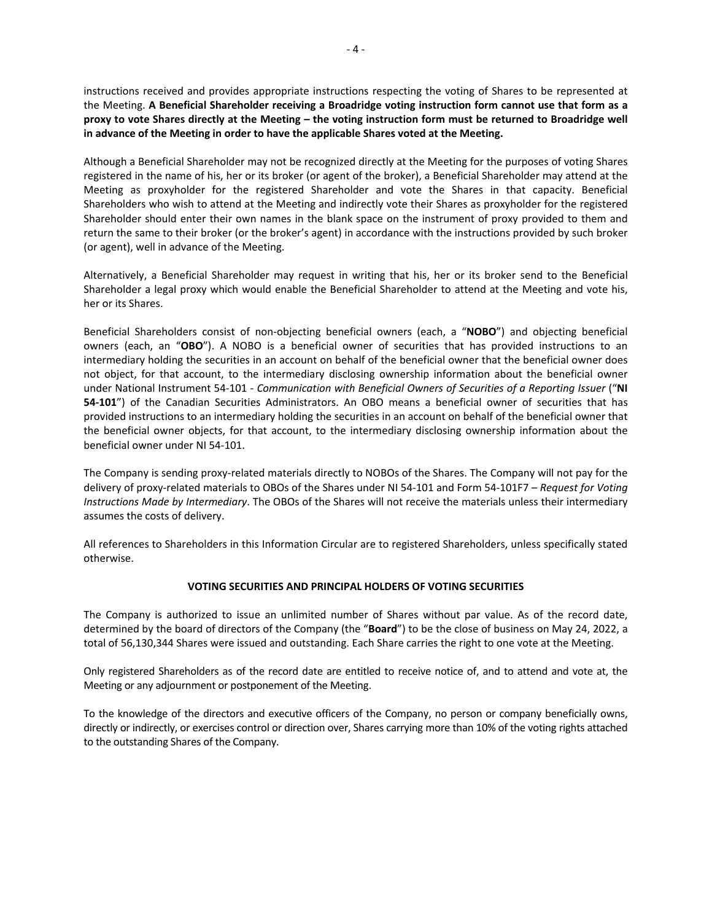instructions received and provides appropriate instructions respecting the voting of Shares to be represented at the Meeting. **A Beneficial Shareholder receiving a Broadridge voting instruction form cannot use that form as a proxy to vote Shares directly at the Meeting – the voting instruction form must be returned to Broadridge well in advance of the Meeting in order to have the applicable Shares voted at the Meeting.** 

Although a Beneficial Shareholder may not be recognized directly at the Meeting for the purposes of voting Shares registered in the name of his, her or its broker (or agent of the broker), a Beneficial Shareholder may attend at the Meeting as proxyholder for the registered Shareholder and vote the Shares in that capacity. Beneficial Shareholders who wish to attend at the Meeting and indirectly vote their Shares as proxyholder for the registered Shareholder should enter their own names in the blank space on the instrument of proxy provided to them and return the same to their broker (or the broker's agent) in accordance with the instructions provided by such broker (or agent), well in advance of the Meeting.

Alternatively, a Beneficial Shareholder may request in writing that his, her or its broker send to the Beneficial Shareholder a legal proxy which would enable the Beneficial Shareholder to attend at the Meeting and vote his, her or its Shares.

Beneficial Shareholders consist of non‐objecting beneficial owners (each, a "**NOBO**") and objecting beneficial owners (each, an "OBO"). A NOBO is a beneficial owner of securities that has provided instructions to an intermediary holding the securities in an account on behalf of the beneficial owner that the beneficial owner does not object, for that account, to the intermediary disclosing ownership information about the beneficial owner under National Instrument 54‐101 ‐ *Communication with Beneficial Owners of Securities of a Reporting Issuer* ("**NI 54-101**") of the Canadian Securities Administrators. An OBO means a beneficial owner of securities that has provided instructions to an intermediary holding the securities in an account on behalf of the beneficial owner that the beneficial owner objects, for that account, to the intermediary disclosing ownership information about the beneficial owner under NI 54‐101.

The Company is sending proxy-related materials directly to NOBOs of the Shares. The Company will not pay for the delivery of proxy‐related materials to OBOs of the Shares under NI 54‐101 and Form 54‐101F7 – *Request for Voting Instructions Made by Intermediary*. The OBOs of the Shares will not receive the materials unless their intermediary assumes the costs of delivery.

All references to Shareholders in this Information Circular are to registered Shareholders, unless specifically stated otherwise.

# **VOTING SECURITIES AND PRINCIPAL HOLDERS OF VOTING SECURITIES**

The Company is authorized to issue an unlimited number of Shares without par value. As of the record date, determined by the board of directors of the Company (the "**Board**") to be the close of business on May 24, 2022, a total of 56,130,344 Shares were issued and outstanding. Each Share carries the right to one vote at the Meeting.

Only registered Shareholders as of the record date are entitled to receive notice of, and to attend and vote at, the Meeting or any adjournment or postponement of the Meeting.

To the knowledge of the directors and executive officers of the Company, no person or company beneficially owns, directly or indirectly, or exercises control or direction over, Shares carrying more than 10% of the voting rights attached to the outstanding Shares of the Company.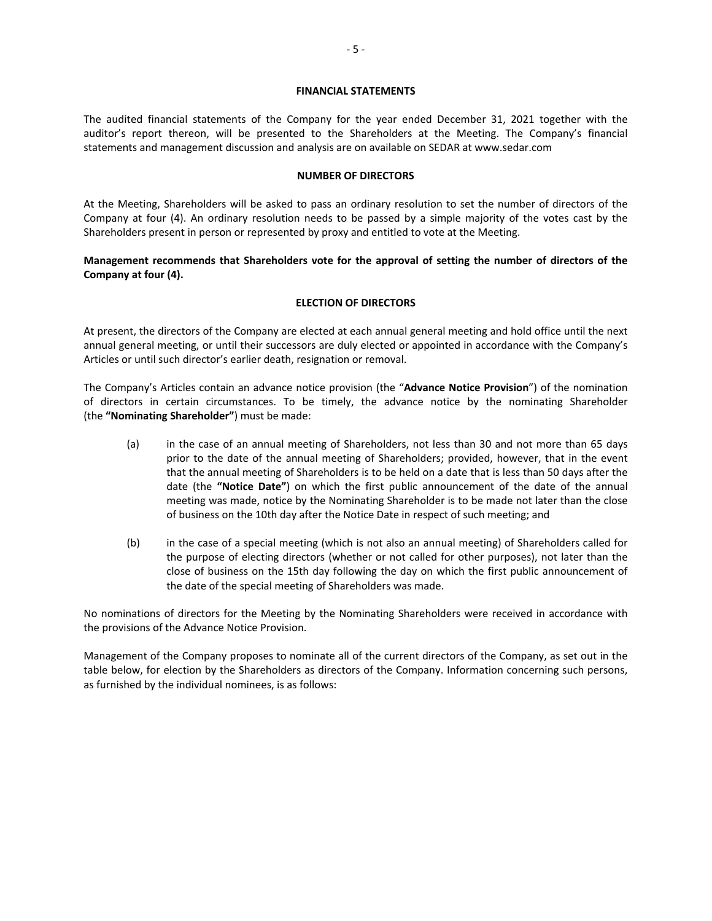#### **FINANCIAL STATEMENTS**

The audited financial statements of the Company for the year ended December 31, 2021 together with the auditor's report thereon, will be presented to the Shareholders at the Meeting. The Company's financial statements and management discussion and analysis are on available on SEDAR at www.sedar.com

#### **NUMBER OF DIRECTORS**

At the Meeting, Shareholders will be asked to pass an ordinary resolution to set the number of directors of the Company at four (4). An ordinary resolution needs to be passed by a simple majority of the votes cast by the Shareholders present in person or represented by proxy and entitled to vote at the Meeting.

# **Management recommends that Shareholders vote for the approval of setting the number of directors of the Company at four (4).**

# **ELECTION OF DIRECTORS**

At present, the directors of the Company are elected at each annual general meeting and hold office until the next annual general meeting, or until their successors are duly elected or appointed in accordance with the Company's Articles or until such director's earlier death, resignation or removal.

The Company's Articles contain an advance notice provision (the "**Advance Notice Provision**") of the nomination of directors in certain circumstances. To be timely, the advance notice by the nominating Shareholder (the **"Nominating Shareholder"**) must be made:

- (a) in the case of an annual meeting of Shareholders, not less than 30 and not more than 65 days prior to the date of the annual meeting of Shareholders; provided, however, that in the event that the annual meeting of Shareholders is to be held on a date that is less than 50 days after the date (the "Notice Date") on which the first public announcement of the date of the annual meeting was made, notice by the Nominating Shareholder is to be made not later than the close of business on the 10th day after the Notice Date in respect of such meeting; and
- (b) in the case of a special meeting (which is not also an annual meeting) of Shareholders called for the purpose of electing directors (whether or not called for other purposes), not later than the close of business on the 15th day following the day on which the first public announcement of the date of the special meeting of Shareholders was made.

No nominations of directors for the Meeting by the Nominating Shareholders were received in accordance with the provisions of the Advance Notice Provision.

Management of the Company proposes to nominate all of the current directors of the Company, as set out in the table below, for election by the Shareholders as directors of the Company. Information concerning such persons, as furnished by the individual nominees, is as follows: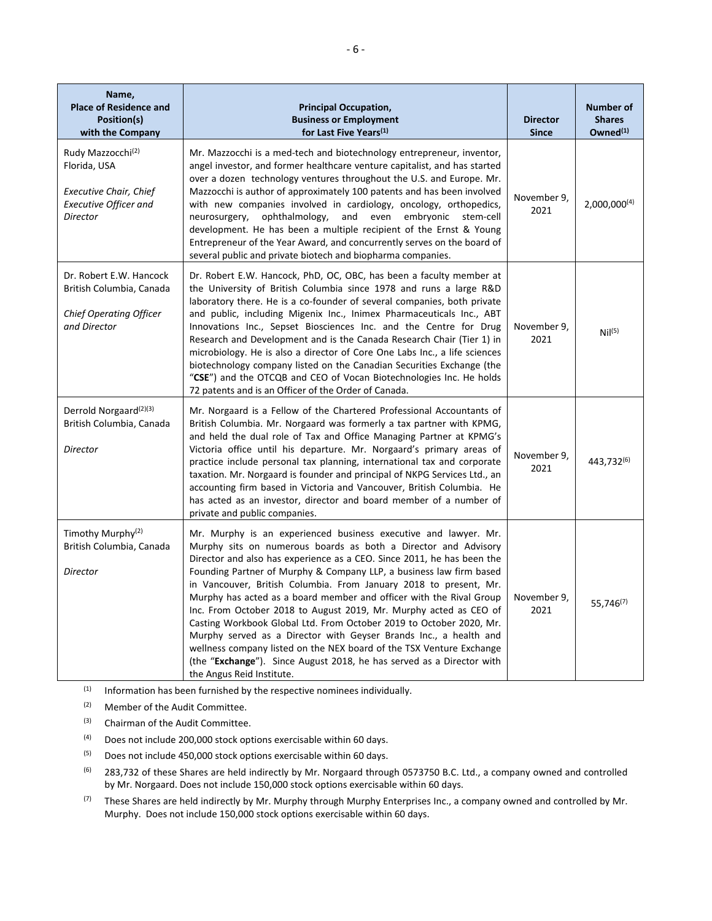| Name,<br><b>Place of Residence and</b><br>Position(s)<br>with the Company                                           | <b>Principal Occupation,</b><br><b>Business or Employment</b><br>for Last Five Years <sup>(1)</sup>                                                                                                                                                                                                                                                                                                                                                                                                                                                                                                                                                                                                                                                                                                                           | <b>Director</b><br><b>Since</b> | <b>Number of</b><br><b>Shares</b><br>Owned <sup>(1)</sup> |
|---------------------------------------------------------------------------------------------------------------------|-------------------------------------------------------------------------------------------------------------------------------------------------------------------------------------------------------------------------------------------------------------------------------------------------------------------------------------------------------------------------------------------------------------------------------------------------------------------------------------------------------------------------------------------------------------------------------------------------------------------------------------------------------------------------------------------------------------------------------------------------------------------------------------------------------------------------------|---------------------------------|-----------------------------------------------------------|
| Rudy Mazzocchi <sup>(2)</sup><br>Florida, USA<br><b>Executive Chair, Chief</b><br>Executive Officer and<br>Director | Mr. Mazzocchi is a med-tech and biotechnology entrepreneur, inventor,<br>angel investor, and former healthcare venture capitalist, and has started<br>over a dozen technology ventures throughout the U.S. and Europe. Mr.<br>Mazzocchi is author of approximately 100 patents and has been involved<br>with new companies involved in cardiology, oncology, orthopedics,<br>neurosurgery, ophthalmology,<br>and even embryonic<br>stem-cell<br>development. He has been a multiple recipient of the Ernst & Young<br>Entrepreneur of the Year Award, and concurrently serves on the board of<br>several public and private biotech and biopharma companies.                                                                                                                                                                  | November 9.<br>2021             | $2,000,000^{(4)}$                                         |
| Dr. Robert E.W. Hancock<br>British Columbia, Canada<br><b>Chief Operating Officer</b><br>and Director               | Dr. Robert E.W. Hancock, PhD, OC, OBC, has been a faculty member at<br>the University of British Columbia since 1978 and runs a large R&D<br>laboratory there. He is a co-founder of several companies, both private<br>and public, including Migenix Inc., Inimex Pharmaceuticals Inc., ABT<br>Innovations Inc., Sepset Biosciences Inc. and the Centre for Drug<br>Research and Development and is the Canada Research Chair (Tier 1) in<br>microbiology. He is also a director of Core One Labs Inc., a life sciences<br>biotechnology company listed on the Canadian Securities Exchange (the<br>"CSE") and the OTCQB and CEO of Vocan Biotechnologies Inc. He holds<br>72 patents and is an Officer of the Order of Canada.                                                                                              | November 9,<br>2021             | Nil <sup>(5)</sup>                                        |
| Derrold Norgaard <sup>(2)(3)</sup><br>British Columbia, Canada<br>Director                                          | Mr. Norgaard is a Fellow of the Chartered Professional Accountants of<br>British Columbia. Mr. Norgaard was formerly a tax partner with KPMG,<br>and held the dual role of Tax and Office Managing Partner at KPMG's<br>Victoria office until his departure. Mr. Norgaard's primary areas of<br>practice include personal tax planning, international tax and corporate<br>taxation. Mr. Norgaard is founder and principal of NKPG Services Ltd., an<br>accounting firm based in Victoria and Vancouver, British Columbia. He<br>has acted as an investor, director and board member of a number of<br>private and public companies.                                                                                                                                                                                          | November 9,<br>2021             | 443,732 <sup>(6)</sup>                                    |
| Timothy Murphy <sup>(2)</sup><br>British Columbia, Canada<br>Director                                               | Mr. Murphy is an experienced business executive and lawyer. Mr.<br>Murphy sits on numerous boards as both a Director and Advisory<br>Director and also has experience as a CEO. Since 2011, he has been the<br>Founding Partner of Murphy & Company LLP, a business law firm based<br>in Vancouver, British Columbia. From January 2018 to present, Mr.<br>Murphy has acted as a board member and officer with the Rival Group<br>Inc. From October 2018 to August 2019, Mr. Murphy acted as CEO of<br>Casting Workbook Global Ltd. From October 2019 to October 2020, Mr.<br>Murphy served as a Director with Geyser Brands Inc., a health and<br>wellness company listed on the NEX board of the TSX Venture Exchange<br>(the "Exchange"). Since August 2018, he has served as a Director with<br>the Angus Reid Institute. | November 9,<br>2021             | 55,746 <sup>(7)</sup>                                     |

 $(1)$  Information has been furnished by the respective nominees individually.

(2) Member of the Audit Committee.

(3) Chairman of the Audit Committee.

(4) Does not include 200,000 stock options exercisable within 60 days.

(5) Does not include 450,000 stock options exercisable within 60 days.

<sup>(6)</sup> 283,732 of these Shares are held indirectly by Mr. Norgaard through 0573750 B.C. Ltd., a company owned and controlled by Mr. Norgaard. Does not include 150,000 stock options exercisable within 60 days.

(7) These Shares are held indirectly by Mr. Murphy through Murphy Enterprises Inc., a company owned and controlled by Mr. Murphy. Does not include 150,000 stock options exercisable within 60 days.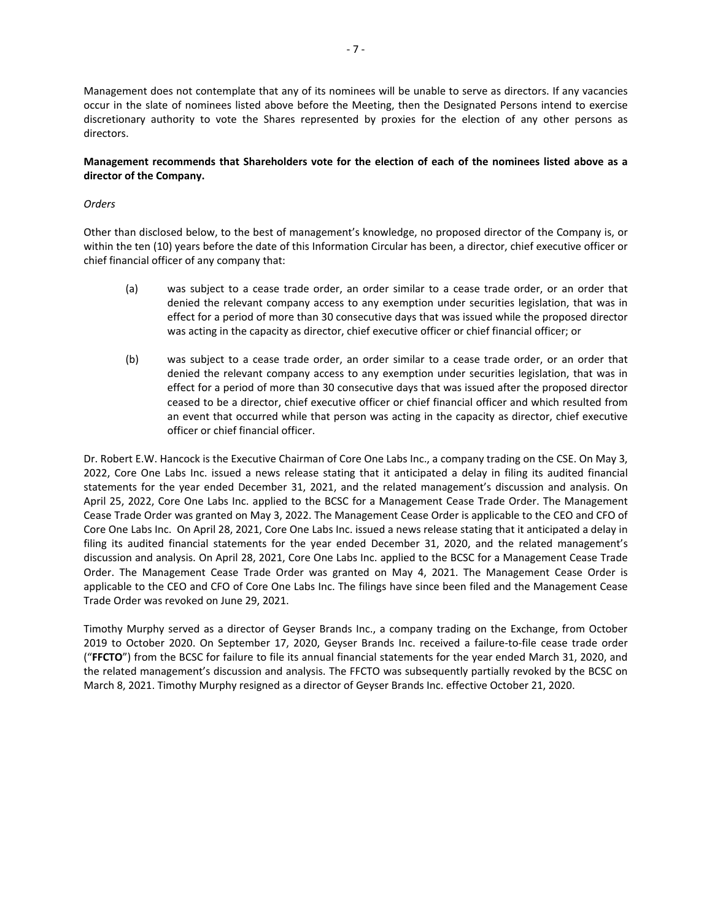Management does not contemplate that any of its nominees will be unable to serve as directors. If any vacancies occur in the slate of nominees listed above before the Meeting, then the Designated Persons intend to exercise discretionary authority to vote the Shares represented by proxies for the election of any other persons as directors.

# **Management recommends that Shareholders vote for the election of each of the nominees listed above as a director of the Company.**

## *Orders*

Other than disclosed below, to the best of management's knowledge, no proposed director of the Company is, or within the ten (10) years before the date of this Information Circular has been, a director, chief executive officer or chief financial officer of any company that:

- (a) was subject to a cease trade order, an order similar to a cease trade order, or an order that denied the relevant company access to any exemption under securities legislation, that was in effect for a period of more than 30 consecutive days that was issued while the proposed director was acting in the capacity as director, chief executive officer or chief financial officer; or
- (b) was subject to a cease trade order, an order similar to a cease trade order, or an order that denied the relevant company access to any exemption under securities legislation, that was in effect for a period of more than 30 consecutive days that was issued after the proposed director ceased to be a director, chief executive officer or chief financial officer and which resulted from an event that occurred while that person was acting in the capacity as director, chief executive officer or chief financial officer.

Dr. Robert E.W. Hancock is the Executive Chairman of Core One Labs Inc., a company trading on the CSE. On May 3, 2022, Core One Labs Inc. issued a news release stating that it anticipated a delay in filing its audited financial statements for the year ended December 31, 2021, and the related management's discussion and analysis. On April 25, 2022, Core One Labs Inc. applied to the BCSC for a Management Cease Trade Order. The Management Cease Trade Order was granted on May 3, 2022. The Management Cease Order is applicable to the CEO and CFO of Core One Labs Inc. On April 28, 2021, Core One Labs Inc. issued a news release stating that it anticipated a delay in filing its audited financial statements for the year ended December 31, 2020, and the related management's discussion and analysis. On April 28, 2021, Core One Labs Inc. applied to the BCSC for a Management Cease Trade Order. The Management Cease Trade Order was granted on May 4, 2021. The Management Cease Order is applicable to the CEO and CFO of Core One Labs Inc. The filings have since been filed and the Management Cease Trade Order was revoked on June 29, 2021.

Timothy Murphy served as a director of Geyser Brands Inc., a company trading on the Exchange, from October 2019 to October 2020. On September 17, 2020, Geyser Brands Inc. received a failure-to-file cease trade order ("**FFCTO**") from the BCSC for failure to file its annual financial statements for the year ended March 31, 2020, and the related management's discussion and analysis. The FFCTO was subsequently partially revoked by the BCSC on March 8, 2021. Timothy Murphy resigned as a director of Geyser Brands Inc. effective October 21, 2020.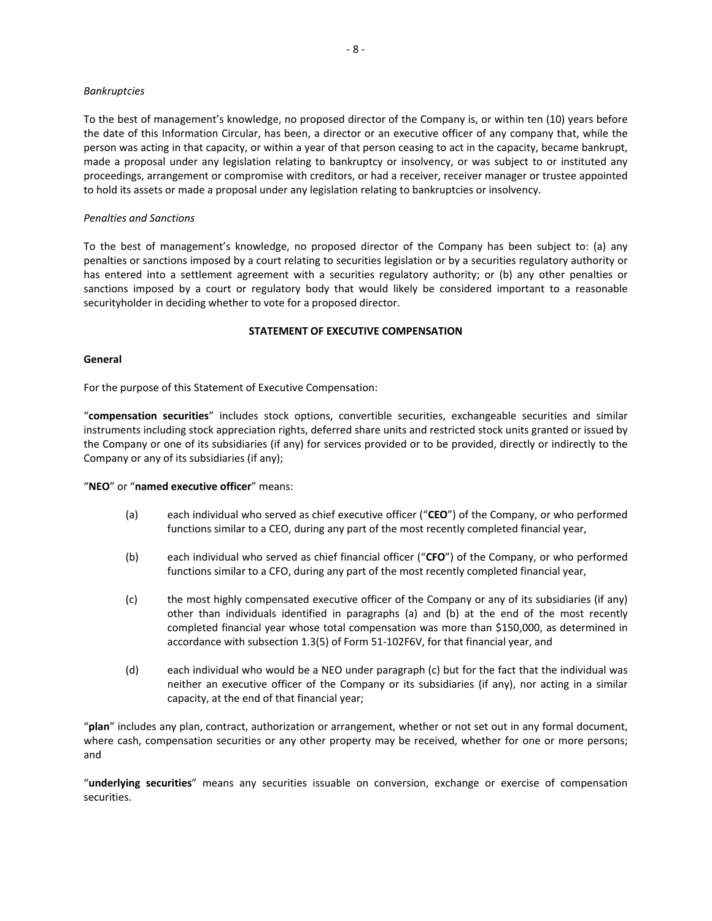#### *Bankruptcies*

To the best of management's knowledge, no proposed director of the Company is, or within ten (10) years before the date of this Information Circular, has been, a director or an executive officer of any company that, while the person was acting in that capacity, or within a year of that person ceasing to act in the capacity, became bankrupt, made a proposal under any legislation relating to bankruptcy or insolvency, or was subject to or instituted any proceedings, arrangement or compromise with creditors, or had a receiver, receiver manager or trustee appointed to hold its assets or made a proposal under any legislation relating to bankruptcies or insolvency.

#### *Penalties and Sanctions*

To the best of management's knowledge, no proposed director of the Company has been subject to: (a) any penalties or sanctions imposed by a court relating to securities legislation or by a securities regulatory authority or has entered into a settlement agreement with a securities regulatory authority; or (b) any other penalties or sanctions imposed by a court or regulatory body that would likely be considered important to a reasonable securityholder in deciding whether to vote for a proposed director.

#### **STATEMENT OF EXECUTIVE COMPENSATION**

#### **General**

For the purpose of this Statement of Executive Compensation:

"**compensation securities**" includes stock options, convertible securities, exchangeable securities and similar instruments including stock appreciation rights, deferred share units and restricted stock units granted or issued by the Company or one of its subsidiaries (if any) for services provided or to be provided, directly or indirectly to the Company or any of its subsidiaries (if any);

#### "**NEO**" or "**named executive officer**" means:

- (a) each individual who served as chief executive officer ("**CEO**") of the Company, or who performed functions similar to a CEO, during any part of the most recently completed financial year,
- (b) each individual who served as chief financial officer ("**CFO**") of the Company, or who performed functions similar to a CFO, during any part of the most recently completed financial year,
- (c) the most highly compensated executive officer of the Company or any of its subsidiaries (if any) other than individuals identified in paragraphs (a) and (b) at the end of the most recently completed financial year whose total compensation was more than \$150,000, as determined in accordance with subsection 1.3(5) of Form 51‐102F6V, for that financial year, and
- (d) each individual who would be a NEO under paragraph (c) but for the fact that the individual was neither an executive officer of the Company or its subsidiaries (if any), nor acting in a similar capacity, at the end of that financial year;

"**plan**" includes any plan, contract, authorization or arrangement, whether or not set out in any formal document, where cash, compensation securities or any other property may be received, whether for one or more persons; and

"**underlying securities**" means any securities issuable on conversion, exchange or exercise of compensation securities.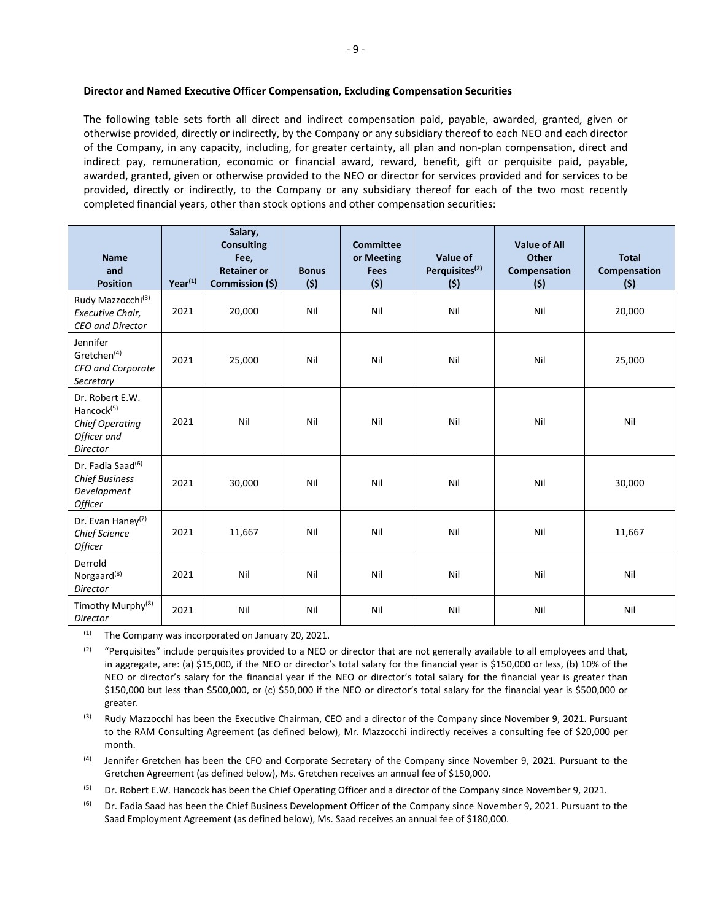The following table sets forth all direct and indirect compensation paid, payable, awarded, granted, given or otherwise provided, directly or indirectly, by the Company or any subsidiary thereof to each NEO and each director of the Company, in any capacity, including, for greater certainty, all plan and non‐plan compensation, direct and indirect pay, remuneration, economic or financial award, reward, benefit, gift or perquisite paid, payable, awarded, granted, given or otherwise provided to the NEO or director for services provided and for services to be provided, directly or indirectly, to the Company or any subsidiary thereof for each of the two most recently completed financial years, other than stock options and other compensation securities:

| <b>Name</b><br>and<br><b>Position</b>                                                          | $Year^{(1)}$ | Salary,<br><b>Consulting</b><br>Fee,<br><b>Retainer or</b><br>Commission (\$) | <b>Bonus</b><br>(5) | <b>Committee</b><br>or Meeting<br><b>Fees</b><br>(5) | Value of<br>Perquisites <sup>(2)</sup><br>(5) | <b>Value of All</b><br><b>Other</b><br>Compensation<br>(5) | <b>Total</b><br>Compensation<br>(\$) |
|------------------------------------------------------------------------------------------------|--------------|-------------------------------------------------------------------------------|---------------------|------------------------------------------------------|-----------------------------------------------|------------------------------------------------------------|--------------------------------------|
| Rudy Mazzocchi <sup>(3)</sup><br>Executive Chair,<br>CEO and Director                          | 2021         | 20,000                                                                        | Nil                 | Nil                                                  | Nil                                           | Nil                                                        | 20,000                               |
| Jennifer<br>Gretchen <sup>(4)</sup><br>CFO and Corporate<br>Secretary                          | 2021         | 25,000                                                                        | Nil                 | Nil                                                  | Nil                                           | Nil                                                        | 25,000                               |
| Dr. Robert E.W.<br>Hancock <sup>(5)</sup><br><b>Chief Operating</b><br>Officer and<br>Director | 2021         | Nil                                                                           | Nil                 | Nil                                                  | Nil                                           | Nil                                                        | Nil                                  |
| Dr. Fadia Saad <sup>(6)</sup><br><b>Chief Business</b><br>Development<br>Officer               | 2021         | 30,000                                                                        | Nil                 | Nil                                                  | Nil                                           | Nil                                                        | 30,000                               |
| Dr. Evan Haney <sup>(7)</sup><br>Chief Science<br>Officer                                      | 2021         | 11,667                                                                        | Nil                 | Nil                                                  | Nil                                           | Nil                                                        | 11,667                               |
| Derrold<br>Norgaard <sup>(8)</sup><br>Director                                                 | 2021         | Nil                                                                           | Nil                 | Nil                                                  | Nil                                           | Nil                                                        | Nil                                  |
| Timothy Murphy <sup>(8)</sup><br>Director                                                      | 2021         | Nil                                                                           | Nil                 | Nil                                                  | Nil                                           | Nil                                                        | Nil                                  |

 $(1)$  The Company was incorporated on January 20, 2021.

 $(2)$  "Perquisites" include perquisites provided to a NEO or director that are not generally available to all employees and that, in aggregate, are: (a) \$15,000, if the NEO or director's total salary for the financial year is \$150,000 or less, (b) 10% of the NEO or director's salary for the financial year if the NEO or director's total salary for the financial year is greater than \$150,000 but less than \$500,000, or (c) \$50,000 if the NEO or director's total salary for the financial year is \$500,000 or greater.

 $(3)$  Rudy Mazzocchi has been the Executive Chairman, CEO and a director of the Company since November 9, 2021. Pursuant to the RAM Consulting Agreement (as defined below), Mr. Mazzocchi indirectly receives a consulting fee of \$20,000 per month.

<sup>(4)</sup> Jennifer Gretchen has been the CFO and Corporate Secretary of the Company since November 9, 2021. Pursuant to the Gretchen Agreement (as defined below), Ms. Gretchen receives an annual fee of \$150,000.

<sup>(5)</sup> Dr. Robert E.W. Hancock has been the Chief Operating Officer and a director of the Company since November 9, 2021.

<sup>(6)</sup> Dr. Fadia Saad has been the Chief Business Development Officer of the Company since November 9, 2021. Pursuant to the Saad Employment Agreement (as defined below), Ms. Saad receives an annual fee of \$180,000.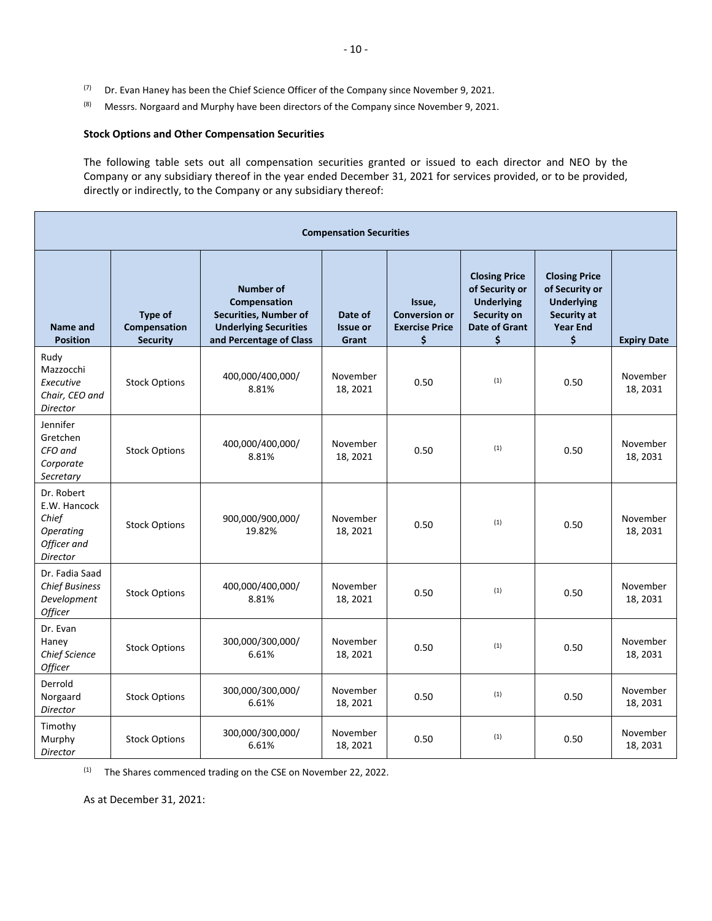- $(7)$  Dr. Evan Haney has been the Chief Science Officer of the Company since November 9, 2021.
- <sup>(8)</sup> Messrs. Norgaard and Murphy have been directors of the Company since November 9, 2021.

# **Stock Options and Other Compensation Securities**

The following table sets out all compensation securities granted or issued to each director and NEO by the Company or any subsidiary thereof in the year ended December 31, 2021 for services provided, or to be provided, directly or indirectly, to the Company or any subsidiary thereof:

| <b>Compensation Securities</b>                                              |                                            |                                                                                                                             |                                     |                                                               |                                                                                                                 |                                                                                                     |                      |
|-----------------------------------------------------------------------------|--------------------------------------------|-----------------------------------------------------------------------------------------------------------------------------|-------------------------------------|---------------------------------------------------------------|-----------------------------------------------------------------------------------------------------------------|-----------------------------------------------------------------------------------------------------|----------------------|
| <b>Name and</b><br><b>Position</b>                                          | Type of<br>Compensation<br><b>Security</b> | <b>Number of</b><br>Compensation<br><b>Securities, Number of</b><br><b>Underlying Securities</b><br>and Percentage of Class | Date of<br><b>Issue or</b><br>Grant | Issue,<br><b>Conversion or</b><br><b>Exercise Price</b><br>\$ | <b>Closing Price</b><br>of Security or<br><b>Underlying</b><br><b>Security on</b><br><b>Date of Grant</b><br>\$ | <b>Closing Price</b><br>of Security or<br><b>Underlying</b><br>Security at<br><b>Year End</b><br>\$ | <b>Expiry Date</b>   |
| Rudy<br>Mazzocchi<br>Executive<br>Chair, CEO and<br><b>Director</b>         | <b>Stock Options</b>                       | 400,000/400,000/<br>8.81%                                                                                                   | November<br>18, 2021                | 0.50                                                          | (1)                                                                                                             | 0.50                                                                                                | November<br>18, 2031 |
| Jennifer<br>Gretchen<br>CFO and<br>Corporate<br>Secretary                   | <b>Stock Options</b>                       | 400,000/400,000/<br>8.81%                                                                                                   | November<br>18, 2021                | 0.50                                                          | (1)                                                                                                             | 0.50                                                                                                | November<br>18, 2031 |
| Dr. Robert<br>E.W. Hancock<br>Chief<br>Operating<br>Officer and<br>Director | <b>Stock Options</b>                       | 900,000/900,000/<br>19.82%                                                                                                  | November<br>18, 2021                | 0.50                                                          | (1)                                                                                                             | 0.50                                                                                                | November<br>18, 2031 |
| Dr. Fadia Saad<br><b>Chief Business</b><br>Development<br><b>Officer</b>    | <b>Stock Options</b>                       | 400,000/400,000/<br>8.81%                                                                                                   | November<br>18, 2021                | 0.50                                                          | (1)                                                                                                             | 0.50                                                                                                | November<br>18, 2031 |
| Dr. Evan<br>Haney<br><b>Chief Science</b><br>Officer                        | <b>Stock Options</b>                       | 300,000/300,000/<br>6.61%                                                                                                   | November<br>18, 2021                | 0.50                                                          | (1)                                                                                                             | 0.50                                                                                                | November<br>18, 2031 |
| Derrold<br>Norgaard<br>Director                                             | <b>Stock Options</b>                       | 300,000/300,000/<br>6.61%                                                                                                   | November<br>18, 2021                | 0.50                                                          | (1)                                                                                                             | 0.50                                                                                                | November<br>18, 2031 |
| Timothy<br>Murphy<br>Director                                               | <b>Stock Options</b>                       | 300,000/300,000/<br>6.61%                                                                                                   | November<br>18, 2021                | 0.50                                                          | (1)                                                                                                             | 0.50                                                                                                | November<br>18, 2031 |

(1) The Shares commenced trading on the CSE on November 22, 2022.

As at December 31, 2021: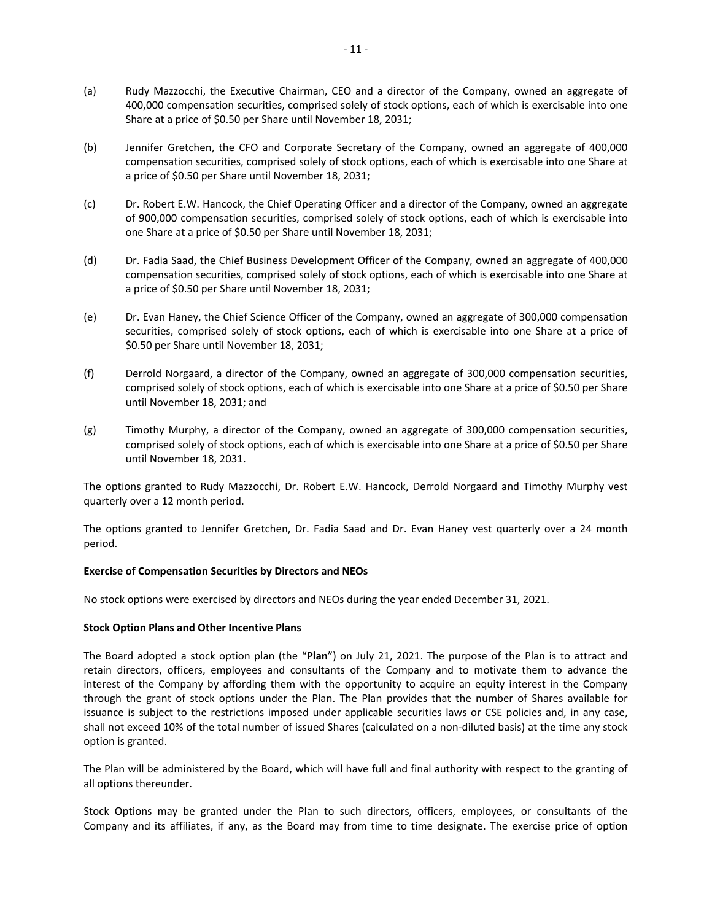- (a) Rudy Mazzocchi, the Executive Chairman, CEO and a director of the Company, owned an aggregate of 400,000 compensation securities, comprised solely of stock options, each of which is exercisable into one Share at a price of \$0.50 per Share until November 18, 2031;
- (b) Jennifer Gretchen, the CFO and Corporate Secretary of the Company, owned an aggregate of 400,000 compensation securities, comprised solely of stock options, each of which is exercisable into one Share at a price of \$0.50 per Share until November 18, 2031;
- (c) Dr. Robert E.W. Hancock, the Chief Operating Officer and a director of the Company, owned an aggregate of 900,000 compensation securities, comprised solely of stock options, each of which is exercisable into one Share at a price of \$0.50 per Share until November 18, 2031;
- (d) Dr. Fadia Saad, the Chief Business Development Officer of the Company, owned an aggregate of 400,000 compensation securities, comprised solely of stock options, each of which is exercisable into one Share at a price of \$0.50 per Share until November 18, 2031;
- (e) Dr. Evan Haney, the Chief Science Officer of the Company, owned an aggregate of 300,000 compensation securities, comprised solely of stock options, each of which is exercisable into one Share at a price of \$0.50 per Share until November 18, 2031;
- (f) Derrold Norgaard, a director of the Company, owned an aggregate of 300,000 compensation securities, comprised solely of stock options, each of which is exercisable into one Share at a price of \$0.50 per Share until November 18, 2031; and
- (g) Timothy Murphy, a director of the Company, owned an aggregate of 300,000 compensation securities, comprised solely of stock options, each of which is exercisable into one Share at a price of \$0.50 per Share until November 18, 2031.

The options granted to Rudy Mazzocchi, Dr. Robert E.W. Hancock, Derrold Norgaard and Timothy Murphy vest quarterly over a 12 month period.

The options granted to Jennifer Gretchen, Dr. Fadia Saad and Dr. Evan Haney vest quarterly over a 24 month period.

#### **Exercise of Compensation Securities by Directors and NEOs**

No stock options were exercised by directors and NEOs during the year ended December 31, 2021.

#### **Stock Option Plans and Other Incentive Plans**

The Board adopted a stock option plan (the "**Plan**") on July 21, 2021. The purpose of the Plan is to attract and retain directors, officers, employees and consultants of the Company and to motivate them to advance the interest of the Company by affording them with the opportunity to acquire an equity interest in the Company through the grant of stock options under the Plan. The Plan provides that the number of Shares available for issuance is subject to the restrictions imposed under applicable securities laws or CSE policies and, in any case, shall not exceed 10% of the total number of issued Shares (calculated on a non‐diluted basis) at the time any stock option is granted.

The Plan will be administered by the Board, which will have full and final authority with respect to the granting of all options thereunder.

Stock Options may be granted under the Plan to such directors, officers, employees, or consultants of the Company and its affiliates, if any, as the Board may from time to time designate. The exercise price of option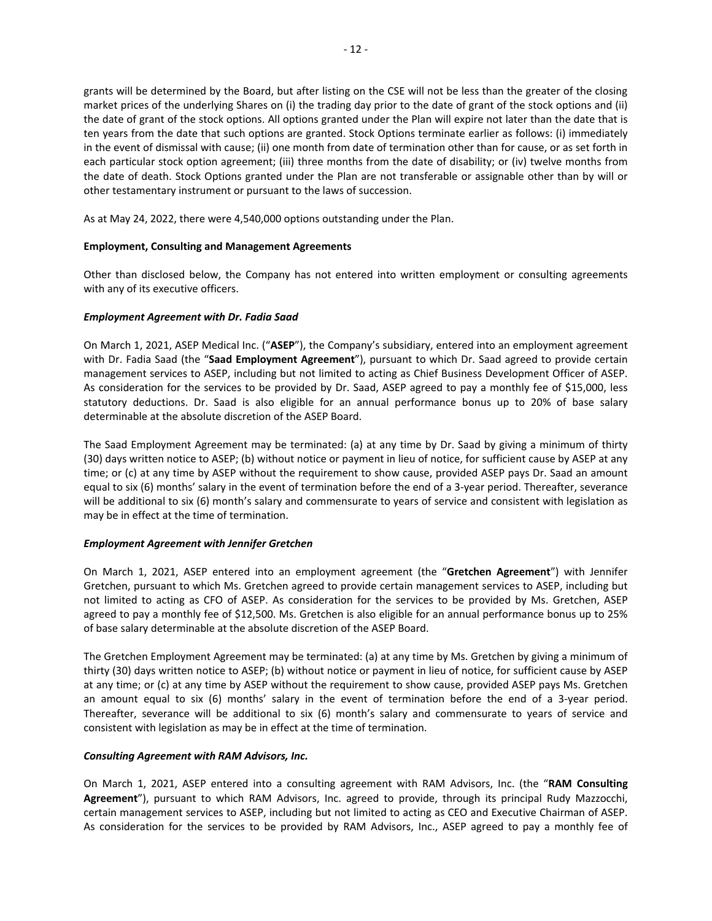grants will be determined by the Board, but after listing on the CSE will not be less than the greater of the closing market prices of the underlying Shares on (i) the trading day prior to the date of grant of the stock options and (ii) the date of grant of the stock options. All options granted under the Plan will expire not later than the date that is ten years from the date that such options are granted. Stock Options terminate earlier as follows: (i) immediately in the event of dismissal with cause; (ii) one month from date of termination other than for cause, or as set forth in each particular stock option agreement; (iii) three months from the date of disability; or (iv) twelve months from the date of death. Stock Options granted under the Plan are not transferable or assignable other than by will or other testamentary instrument or pursuant to the laws of succession.

As at May 24, 2022, there were 4,540,000 options outstanding under the Plan.

## **Employment, Consulting and Management Agreements**

Other than disclosed below, the Company has not entered into written employment or consulting agreements with any of its executive officers.

## *Employment Agreement with Dr. Fadia Saad*

On March 1, 2021, ASEP Medical Inc. ("**ASEP**"), the Company's subsidiary, entered into an employment agreement with Dr. Fadia Saad (the "**Saad Employment Agreement**"), pursuant to which Dr. Saad agreed to provide certain management services to ASEP, including but not limited to acting as Chief Business Development Officer of ASEP. As consideration for the services to be provided by Dr. Saad, ASEP agreed to pay a monthly fee of \$15,000, less statutory deductions. Dr. Saad is also eligible for an annual performance bonus up to 20% of base salary determinable at the absolute discretion of the ASEP Board.

The Saad Employment Agreement may be terminated: (a) at any time by Dr. Saad by giving a minimum of thirty (30) days written notice to ASEP; (b) without notice or payment in lieu of notice, for sufficient cause by ASEP at any time; or (c) at any time by ASEP without the requirement to show cause, provided ASEP pays Dr. Saad an amount equal to six (6) months' salary in the event of termination before the end of a 3‐year period. Thereafter, severance will be additional to six (6) month's salary and commensurate to years of service and consistent with legislation as may be in effect at the time of termination.

#### *Employment Agreement with Jennifer Gretchen*

On March 1, 2021, ASEP entered into an employment agreement (the "**Gretchen Agreement**") with Jennifer Gretchen, pursuant to which Ms. Gretchen agreed to provide certain management services to ASEP, including but not limited to acting as CFO of ASEP. As consideration for the services to be provided by Ms. Gretchen, ASEP agreed to pay a monthly fee of \$12,500. Ms. Gretchen is also eligible for an annual performance bonus up to 25% of base salary determinable at the absolute discretion of the ASEP Board.

The Gretchen Employment Agreement may be terminated: (a) at any time by Ms. Gretchen by giving a minimum of thirty (30) days written notice to ASEP; (b) without notice or payment in lieu of notice, for sufficient cause by ASEP at any time; or (c) at any time by ASEP without the requirement to show cause, provided ASEP pays Ms. Gretchen an amount equal to  $\sin(6)$  months' salary in the event of termination before the end of a 3-year period. Thereafter, severance will be additional to six (6) month's salary and commensurate to years of service and consistent with legislation as may be in effect at the time of termination.

#### *Consulting Agreement with RAM Advisors, Inc.*

On March 1, 2021, ASEP entered into a consulting agreement with RAM Advisors, Inc. (the "**RAM Consulting Agreement**"), pursuant to which RAM Advisors, Inc. agreed to provide, through its principal Rudy Mazzocchi, certain management services to ASEP, including but not limited to acting as CEO and Executive Chairman of ASEP. As consideration for the services to be provided by RAM Advisors, Inc., ASEP agreed to pay a monthly fee of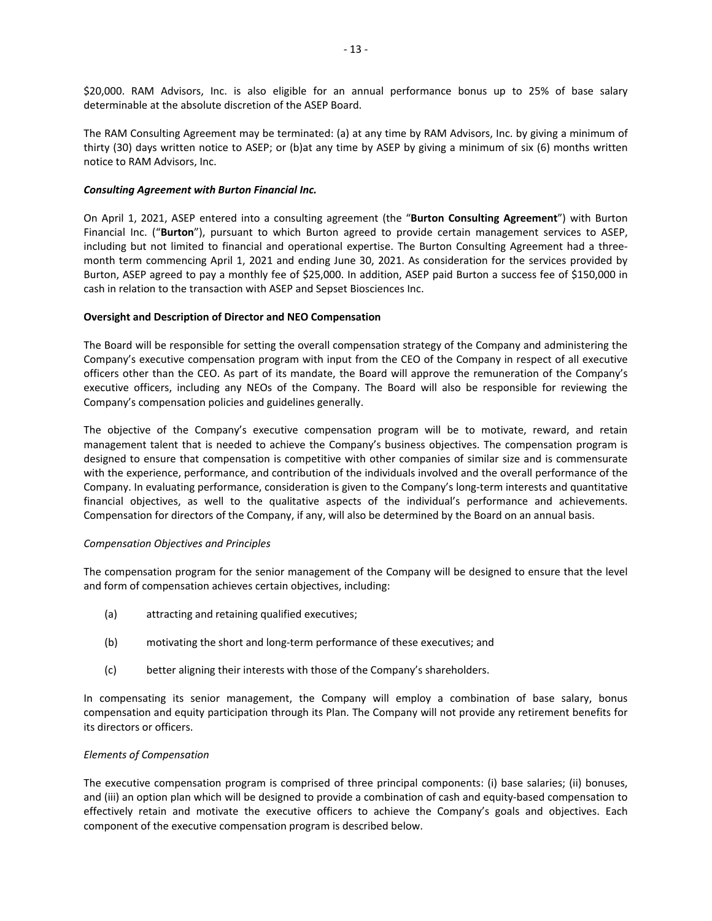\$20,000. RAM Advisors, Inc. is also eligible for an annual performance bonus up to 25% of base salary determinable at the absolute discretion of the ASEP Board.

The RAM Consulting Agreement may be terminated: (a) at any time by RAM Advisors, Inc. by giving a minimum of thirty (30) days written notice to ASEP; or (b)at any time by ASEP by giving a minimum of six (6) months written notice to RAM Advisors, Inc.

#### *Consulting Agreement with Burton Financial Inc.*

On April 1, 2021, ASEP entered into a consulting agreement (the "**Burton Consulting Agreement**") with Burton Financial Inc. ("**Burton**"), pursuant to which Burton agreed to provide certain management services to ASEP, including but not limited to financial and operational expertise. The Burton Consulting Agreement had a threemonth term commencing April 1, 2021 and ending June 30, 2021. As consideration for the services provided by Burton, ASEP agreed to pay a monthly fee of \$25,000. In addition, ASEP paid Burton a success fee of \$150,000 in cash in relation to the transaction with ASEP and Sepset Biosciences Inc.

#### **Oversight and Description of Director and NEO Compensation**

The Board will be responsible for setting the overall compensation strategy of the Company and administering the Company's executive compensation program with input from the CEO of the Company in respect of all executive officers other than the CEO. As part of its mandate, the Board will approve the remuneration of the Company's executive officers, including any NEOs of the Company. The Board will also be responsible for reviewing the Company's compensation policies and guidelines generally.

The objective of the Company's executive compensation program will be to motivate, reward, and retain management talent that is needed to achieve the Company's business objectives. The compensation program is designed to ensure that compensation is competitive with other companies of similar size and is commensurate with the experience, performance, and contribution of the individuals involved and the overall performance of the Company. In evaluating performance, consideration is given to the Company's long‐term interests and quantitative financial objectives, as well to the qualitative aspects of the individual's performance and achievements. Compensation for directors of the Company, if any, will also be determined by the Board on an annual basis.

#### *Compensation Objectives and Principles*

The compensation program for the senior management of the Company will be designed to ensure that the level and form of compensation achieves certain objectives, including:

- (a) attracting and retaining qualified executives;
- (b) motivating the short and long‐term performance of these executives; and
- (c) better aligning their interests with those of the Company's shareholders.

In compensating its senior management, the Company will employ a combination of base salary, bonus compensation and equity participation through its Plan. The Company will not provide any retirement benefits for its directors or officers.

#### *Elements of Compensation*

The executive compensation program is comprised of three principal components: (i) base salaries; (ii) bonuses, and (iii) an option plan which will be designed to provide a combination of cash and equity‐based compensation to effectively retain and motivate the executive officers to achieve the Company's goals and objectives. Each component of the executive compensation program is described below.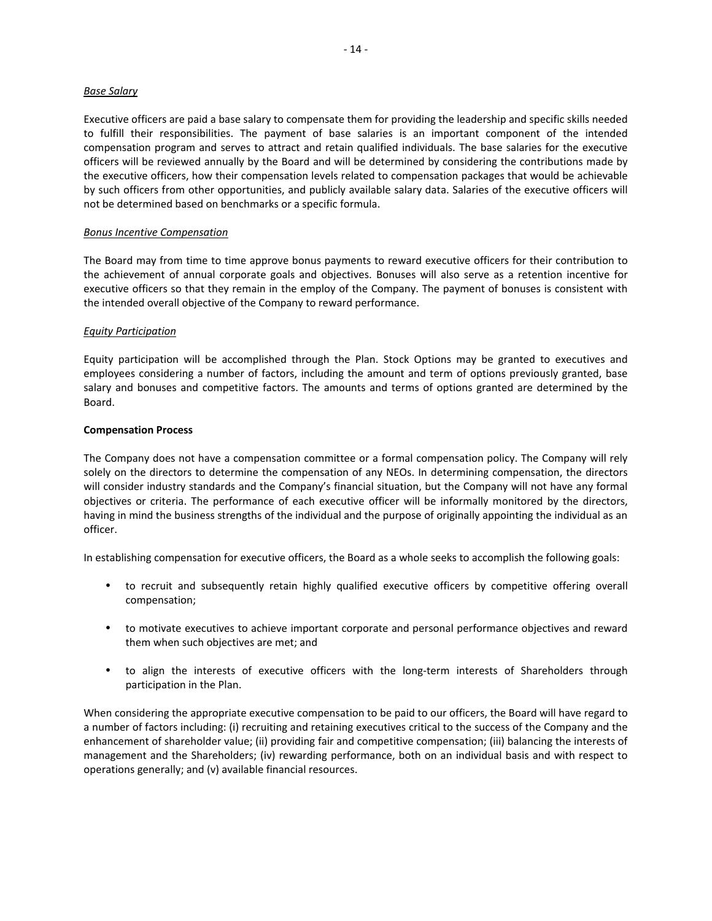#### *Base Salary*

Executive officers are paid a base salary to compensate them for providing the leadership and specific skills needed to fulfill their responsibilities. The payment of base salaries is an important component of the intended compensation program and serves to attract and retain qualified individuals. The base salaries for the executive officers will be reviewed annually by the Board and will be determined by considering the contributions made by the executive officers, how their compensation levels related to compensation packages that would be achievable by such officers from other opportunities, and publicly available salary data. Salaries of the executive officers will not be determined based on benchmarks or a specific formula.

#### *Bonus Incentive Compensation*

The Board may from time to time approve bonus payments to reward executive officers for their contribution to the achievement of annual corporate goals and objectives. Bonuses will also serve as a retention incentive for executive officers so that they remain in the employ of the Company. The payment of bonuses is consistent with the intended overall objective of the Company to reward performance.

#### *Equity Participation*

Equity participation will be accomplished through the Plan. Stock Options may be granted to executives and employees considering a number of factors, including the amount and term of options previously granted, base salary and bonuses and competitive factors. The amounts and terms of options granted are determined by the Board.

#### **Compensation Process**

The Company does not have a compensation committee or a formal compensation policy. The Company will rely solely on the directors to determine the compensation of any NEOs. In determining compensation, the directors will consider industry standards and the Company's financial situation, but the Company will not have any formal objectives or criteria. The performance of each executive officer will be informally monitored by the directors, having in mind the business strengths of the individual and the purpose of originally appointing the individual as an officer.

In establishing compensation for executive officers, the Board as a whole seeks to accomplish the following goals:

- to recruit and subsequently retain highly qualified executive officers by competitive offering overall compensation;
- to motivate executives to achieve important corporate and personal performance objectives and reward them when such objectives are met; and
- to align the interests of executive officers with the long-term interests of Shareholders through participation in the Plan.

When considering the appropriate executive compensation to be paid to our officers, the Board will have regard to a number of factors including: (i) recruiting and retaining executives critical to the success of the Company and the enhancement of shareholder value; (ii) providing fair and competitive compensation; (iii) balancing the interests of management and the Shareholders; (iv) rewarding performance, both on an individual basis and with respect to operations generally; and (v) available financial resources.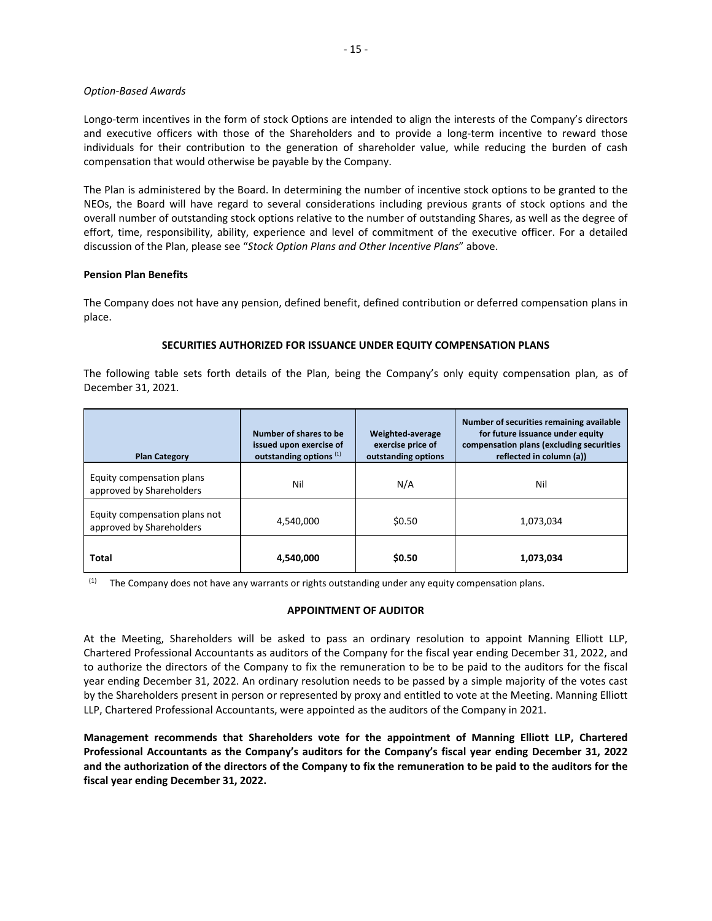#### *Option‐Based Awards*

Longo-term incentives in the form of stock Options are intended to align the interests of the Company's directors and executive officers with those of the Shareholders and to provide a long-term incentive to reward those individuals for their contribution to the generation of shareholder value, while reducing the burden of cash compensation that would otherwise be payable by the Company.

The Plan is administered by the Board. In determining the number of incentive stock options to be granted to the NEOs, the Board will have regard to several considerations including previous grants of stock options and the overall number of outstanding stock options relative to the number of outstanding Shares, as well as the degree of effort, time, responsibility, ability, experience and level of commitment of the executive officer. For a detailed discussion of the Plan, please see "*Stock Option Plans and Other Incentive Plans*" above.

## **Pension Plan Benefits**

The Company does not have any pension, defined benefit, defined contribution or deferred compensation plans in place.

#### **SECURITIES AUTHORIZED FOR ISSUANCE UNDER EQUITY COMPENSATION PLANS**

The following table sets forth details of the Plan, being the Company's only equity compensation plan, as of December 31, 2021.

| <b>Plan Category</b>                                      | Number of shares to be<br>issued upon exercise of<br>outstanding options <sup>(1)</sup> | Weighted-average<br>exercise price of<br>outstanding options | Number of securities remaining available<br>for future issuance under equity<br>compensation plans (excluding securities<br>reflected in column (a)) |
|-----------------------------------------------------------|-----------------------------------------------------------------------------------------|--------------------------------------------------------------|------------------------------------------------------------------------------------------------------------------------------------------------------|
| Equity compensation plans<br>approved by Shareholders     | Nil                                                                                     | N/A                                                          | Nil                                                                                                                                                  |
| Equity compensation plans not<br>approved by Shareholders | 4.540.000                                                                               | \$0.50                                                       | 1,073,034                                                                                                                                            |
| Total                                                     | 4,540,000                                                                               | \$0.50                                                       | 1,073,034                                                                                                                                            |

(1) The Company does not have any warrants or rights outstanding under any equity compensation plans.

#### **APPOINTMENT OF AUDITOR**

At the Meeting, Shareholders will be asked to pass an ordinary resolution to appoint Manning Elliott LLP, Chartered Professional Accountants as auditors of the Company for the fiscal year ending December 31, 2022, and to authorize the directors of the Company to fix the remuneration to be to be paid to the auditors for the fiscal year ending December 31, 2022. An ordinary resolution needs to be passed by a simple majority of the votes cast by the Shareholders present in person or represented by proxy and entitled to vote at the Meeting. Manning Elliott LLP, Chartered Professional Accountants, were appointed as the auditors of the Company in 2021.

**Management recommends that Shareholders vote for the appointment of Manning Elliott LLP, Chartered Professional Accountants as the Company's auditors for the Company's fiscal year ending December 31, 2022 and the authorization of the directors of the Company to fix the remuneration to be paid to the auditors for the fiscal year ending December 31, 2022.**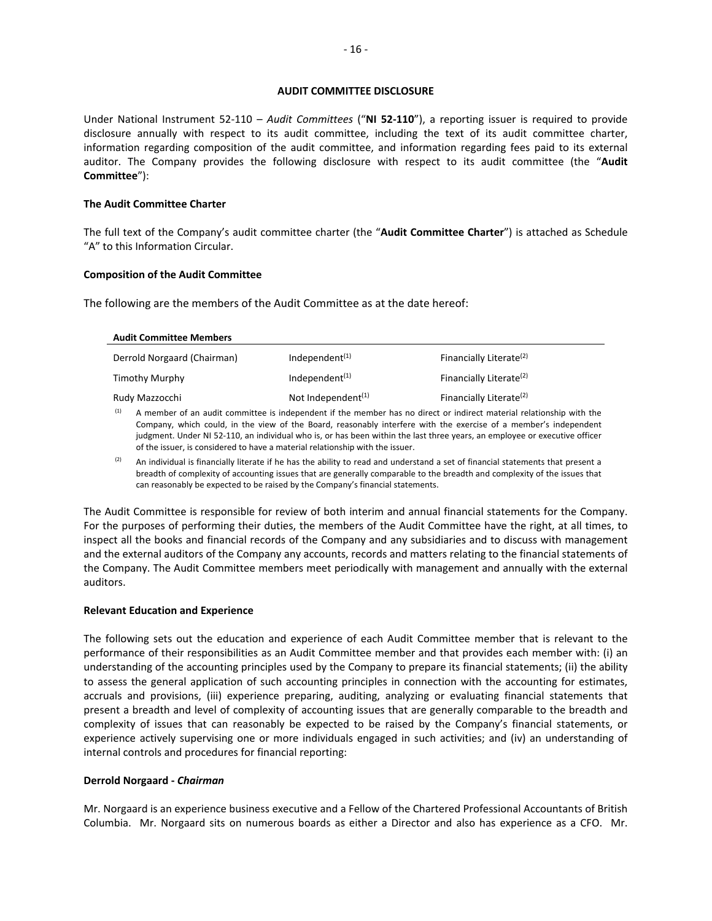#### **AUDIT COMMITTEE DISCLOSURE**

Under National Instrument 52-110 – Audit Committees ("NI 52-110"), a reporting issuer is required to provide disclosure annually with respect to its audit committee, including the text of its audit committee charter, information regarding composition of the audit committee, and information regarding fees paid to its external auditor. The Company provides the following disclosure with respect to its audit committee (the "**Audit Committee**"):

#### **The Audit Committee Charter**

The full text of the Company's audit committee charter (the "**Audit Committee Charter**") is attached as Schedule "A" to this Information Circular.

#### **Composition of the Audit Committee**

The following are the members of the Audit Committee as at the date hereof:

| <b>Audit Committee Members</b> |                                             |                                     |
|--------------------------------|---------------------------------------------|-------------------------------------|
| Derrold Norgaard (Chairman)    | Independent $(1)$                           | Financially Literate <sup>(2)</sup> |
| Timothy Murphy                 | Independent $(1)$                           | Financially Literate <sup>(2)</sup> |
| Rudy Mazzocchi                 | Not Independent <sup><math>(1)</math></sup> | Financially Literate <sup>(2)</sup> |

A member of an audit committee is independent if the member has no direct or indirect material relationship with the Company, which could, in the view of the Board, reasonably interfere with the exercise of a member's independent judgment. Under NI 52-110, an individual who is, or has been within the last three years, an employee or executive officer of the issuer, is considered to have a material relationship with the issuer.

An individual is financially literate if he has the ability to read and understand a set of financial statements that present a breadth of complexity of accounting issues that are generally comparable to the breadth and complexity of the issues that can reasonably be expected to be raised by the Company's financial statements.

The Audit Committee is responsible for review of both interim and annual financial statements for the Company. For the purposes of performing their duties, the members of the Audit Committee have the right, at all times, to inspect all the books and financial records of the Company and any subsidiaries and to discuss with management and the external auditors of the Company any accounts, records and matters relating to the financial statements of the Company. The Audit Committee members meet periodically with management and annually with the external auditors.

#### **Relevant Education and Experience**

The following sets out the education and experience of each Audit Committee member that is relevant to the performance of their responsibilities as an Audit Committee member and that provides each member with: (i) an understanding of the accounting principles used by the Company to prepare its financial statements; (ii) the ability to assess the general application of such accounting principles in connection with the accounting for estimates, accruals and provisions, (iii) experience preparing, auditing, analyzing or evaluating financial statements that present a breadth and level of complexity of accounting issues that are generally comparable to the breadth and complexity of issues that can reasonably be expected to be raised by the Company's financial statements, or experience actively supervising one or more individuals engaged in such activities; and (iv) an understanding of internal controls and procedures for financial reporting:

#### **Derrold Norgaard ‐** *Chairman*

Mr. Norgaard is an experience business executive and a Fellow of the Chartered Professional Accountants of British Columbia. Mr. Norgaard sits on numerous boards as either a Director and also has experience as a CFO. Mr.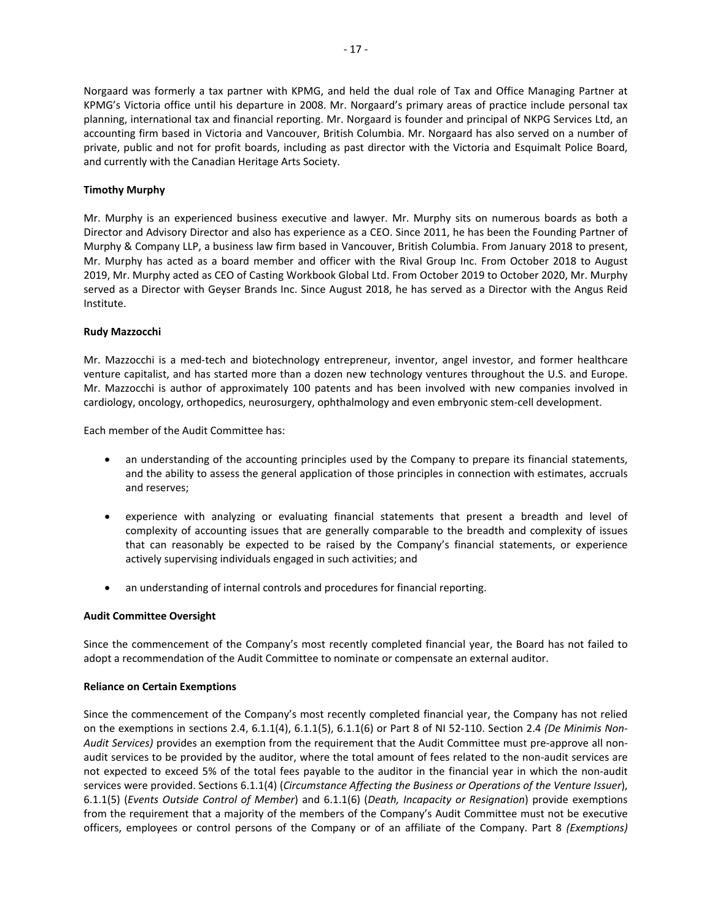Norgaard was formerly a tax partner with KPMG, and held the dual role of Tax and Office Managing Partner at KPMG's Victoria office until his departure in 2008. Mr. Norgaard's primary areas of practice include personal tax planning, international tax and financial reporting. Mr. Norgaard is founder and principal of NKPG Services Ltd, an accounting firm based in Victoria and Vancouver, British Columbia. Mr. Norgaard has also served on a number of private, public and not for profit boards, including as past director with the Victoria and Esquimalt Police Board, and currently with the Canadian Heritage Arts Society.

# **Timothy Murphy**

Mr. Murphy is an experienced business executive and lawyer. Mr. Murphy sits on numerous boards as both a Director and Advisory Director and also has experience as a CEO. Since 2011, he has been the Founding Partner of Murphy & Company LLP, a business law firm based in Vancouver, British Columbia. From January 2018 to present, Mr. Murphy has acted as a board member and officer with the Rival Group Inc. From October 2018 to August 2019, Mr. Murphy acted as CEO of Casting Workbook Global Ltd. From October 2019 to October 2020, Mr. Murphy served as a Director with Geyser Brands Inc. Since August 2018, he has served as a Director with the Angus Reid Institute.

#### **Rudy Mazzocchi**

Mr. Mazzocchi is a med-tech and biotechnology entrepreneur, inventor, angel investor, and former healthcare venture capitalist, and has started more than a dozen new technology ventures throughout the U.S. and Europe. Mr. Mazzocchi is author of approximately 100 patents and has been involved with new companies involved in cardiology, oncology, orthopedics, neurosurgery, ophthalmology and even embryonic stem‐cell development.

Each member of the Audit Committee has:

- an understanding of the accounting principles used by the Company to prepare its financial statements, and the ability to assess the general application of those principles in connection with estimates, accruals and reserves;
- experience with analyzing or evaluating financial statements that present a breadth and level of complexity of accounting issues that are generally comparable to the breadth and complexity of issues that can reasonably be expected to be raised by the Company's financial statements, or experience actively supervising individuals engaged in such activities; and
- an understanding of internal controls and procedures for financial reporting.

#### **Audit Committee Oversight**

Since the commencement of the Company's most recently completed financial year, the Board has not failed to adopt a recommendation of the Audit Committee to nominate or compensate an external auditor.

#### **Reliance on Certain Exemptions**

Since the commencement of the Company's most recently completed financial year, the Company has not relied on the exemptions in sections 2.4, 6.1.1(4), 6.1.1(5), 6.1.1(6) or Part 8 of NI 52‐110. Section 2.4 *(De Minimis Non‐ Audit Services)* provides an exemption from the requirement that the Audit Committee must pre‐approve all non‐ audit services to be provided by the auditor, where the total amount of fees related to the non‐audit services are not expected to exceed 5% of the total fees payable to the auditor in the financial year in which the non-audit services were provided. Sections 6.1.1(4) (*Circumstance Affecting the Business or Operations of the Venture Issuer*), 6.1.1(5) (*Events Outside Control of Member*) and 6.1.1(6) (*Death, Incapacity or Resignation*) provide exemptions from the requirement that a majority of the members of the Company's Audit Committee must not be executive officers, employees or control persons of the Company or of an affiliate of the Company. Part 8 *(Exemptions)*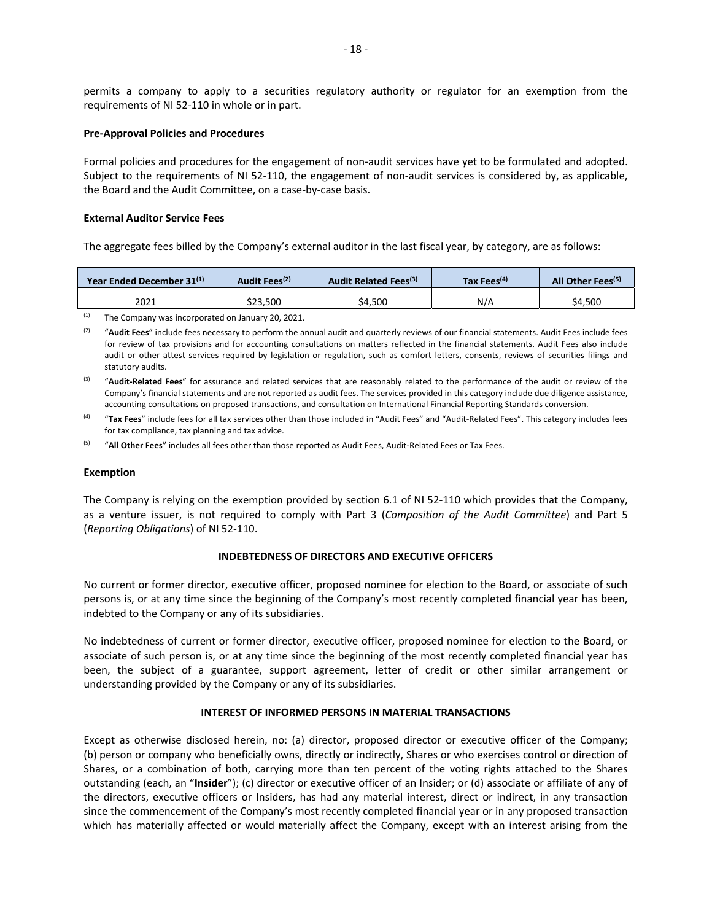permits a company to apply to a securities regulatory authority or regulator for an exemption from the requirements of NI 52‐110 in whole or in part.

#### **Pre‐Approval Policies and Procedures**

Formal policies and procedures for the engagement of non-audit services have yet to be formulated and adopted. Subject to the requirements of NI 52-110, the engagement of non-audit services is considered by, as applicable, the Board and the Audit Committee, on a case‐by‐case basis.

#### **External Auditor Service Fees**

The aggregate fees billed by the Company's external auditor in the last fiscal year, by category, are as follows:

|          | All Other Fees <sup>(5)</sup><br>Tax Fees <sup>(4)</sup>                  |
|----------|---------------------------------------------------------------------------|
| N/A      | \$4.500                                                                   |
| \$23.500 | Audit Fees <sup>(2)</sup><br>Audit Related Fees <sup>(3)</sup><br>\$4.500 |

(1) The Company was incorporated on January 20, 2021.

<sup>(2)</sup> "Audit Fees" include fees necessary to perform the annual audit and quarterly reviews of our financial statements. Audit Fees include fees for review of tax provisions and for accounting consultations on matters reflected in the financial statements. Audit Fees also include audit or other attest services required by legislation or regulation, such as comfort letters, consents, reviews of securities filings and statutory audits.

<sup>(3)</sup> "Audit-Related Fees" for assurance and related services that are reasonably related to the performance of the audit or review of the Company's financial statements and are not reported as audit fees. The services provided in this category include due diligence assistance, accounting consultations on proposed transactions, and consultation on International Financial Reporting Standards conversion.

<sup>(4)</sup> "Tax Fees" include fees for all tax services other than those included in "Audit Fees" and "Audit-Related Fees". This category includes fees for tax compliance, tax planning and tax advice.

(5) "**All Other Fees**" includes all fees other than those reported as Audit Fees, Audit‐Related Fees or Tax Fees.

#### **Exemption**

The Company is relying on the exemption provided by section 6.1 of NI 52-110 which provides that the Company, as a venture issuer, is not required to comply with Part 3 (*Composition of the Audit Committee*) and Part 5 (*Reporting Obligations*) of NI 52‐110.

### **INDEBTEDNESS OF DIRECTORS AND EXECUTIVE OFFICERS**

No current or former director, executive officer, proposed nominee for election to the Board, or associate of such persons is, or at any time since the beginning of the Company's most recently completed financial year has been, indebted to the Company or any of its subsidiaries.

No indebtedness of current or former director, executive officer, proposed nominee for election to the Board, or associate of such person is, or at any time since the beginning of the most recently completed financial year has been, the subject of a guarantee, support agreement, letter of credit or other similar arrangement or understanding provided by the Company or any of its subsidiaries.

#### **INTEREST OF INFORMED PERSONS IN MATERIAL TRANSACTIONS**

Except as otherwise disclosed herein, no: (a) director, proposed director or executive officer of the Company; (b) person or company who beneficially owns, directly or indirectly, Shares or who exercises control or direction of Shares, or a combination of both, carrying more than ten percent of the voting rights attached to the Shares outstanding (each, an "**Insider**"); (c) director or executive officer of an Insider; or (d) associate or affiliate of any of the directors, executive officers or Insiders, has had any material interest, direct or indirect, in any transaction since the commencement of the Company's most recently completed financial year or in any proposed transaction which has materially affected or would materially affect the Company, except with an interest arising from the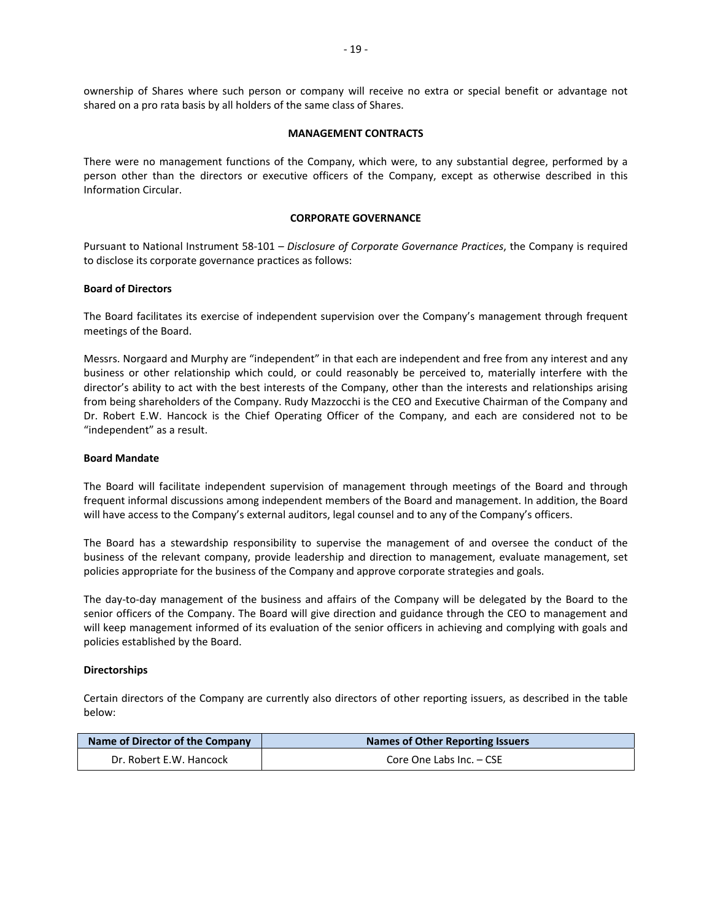ownership of Shares where such person or company will receive no extra or special benefit or advantage not shared on a pro rata basis by all holders of the same class of Shares.

#### **MANAGEMENT CONTRACTS**

There were no management functions of the Company, which were, to any substantial degree, performed by a person other than the directors or executive officers of the Company, except as otherwise described in this Information Circular.

# **CORPORATE GOVERNANCE**

Pursuant to National Instrument 58‐101 – *Disclosure of Corporate Governance Practices*, the Company is required to disclose its corporate governance practices as follows:

#### **Board of Directors**

The Board facilitates its exercise of independent supervision over the Company's management through frequent meetings of the Board.

Messrs. Norgaard and Murphy are "independent" in that each are independent and free from any interest and any business or other relationship which could, or could reasonably be perceived to, materially interfere with the director's ability to act with the best interests of the Company, other than the interests and relationships arising from being shareholders of the Company. Rudy Mazzocchi is the CEO and Executive Chairman of the Company and Dr. Robert E.W. Hancock is the Chief Operating Officer of the Company, and each are considered not to be "independent" as a result.

#### **Board Mandate**

The Board will facilitate independent supervision of management through meetings of the Board and through frequent informal discussions among independent members of the Board and management. In addition, the Board will have access to the Company's external auditors, legal counsel and to any of the Company's officers.

The Board has a stewardship responsibility to supervise the management of and oversee the conduct of the business of the relevant company, provide leadership and direction to management, evaluate management, set policies appropriate for the business of the Company and approve corporate strategies and goals.

The day-to-day management of the business and affairs of the Company will be delegated by the Board to the senior officers of the Company. The Board will give direction and guidance through the CEO to management and will keep management informed of its evaluation of the senior officers in achieving and complying with goals and policies established by the Board.

#### **Directorships**

Certain directors of the Company are currently also directors of other reporting issuers, as described in the table below:

| Name of Director of the Company | <b>Names of Other Reporting Issuers</b> |  |  |
|---------------------------------|-----------------------------------------|--|--|
| Dr. Robert E.W. Hancock         | Core One Labs Inc. - CSE                |  |  |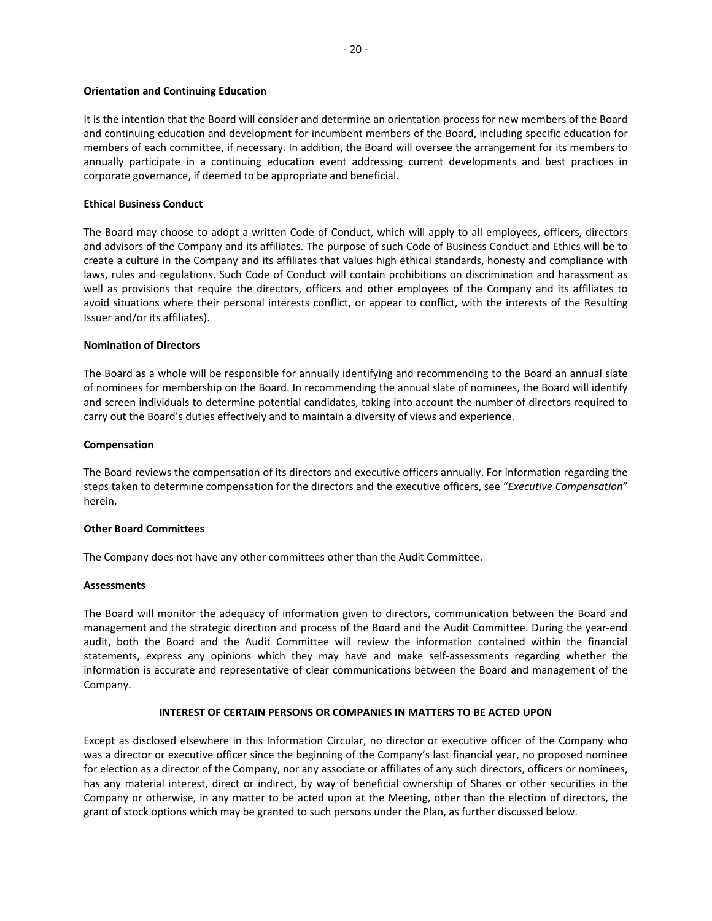#### **Orientation and Continuing Education**

It is the intention that the Board will consider and determine an orientation process for new members of the Board and continuing education and development for incumbent members of the Board, including specific education for members of each committee, if necessary. In addition, the Board will oversee the arrangement for its members to annually participate in a continuing education event addressing current developments and best practices in corporate governance, if deemed to be appropriate and beneficial.

#### **Ethical Business Conduct**

The Board may choose to adopt a written Code of Conduct, which will apply to all employees, officers, directors and advisors of the Company and its affiliates. The purpose of such Code of Business Conduct and Ethics will be to create a culture in the Company and its affiliates that values high ethical standards, honesty and compliance with laws, rules and regulations. Such Code of Conduct will contain prohibitions on discrimination and harassment as well as provisions that require the directors, officers and other employees of the Company and its affiliates to avoid situations where their personal interests conflict, or appear to conflict, with the interests of the Resulting Issuer and/or its affiliates).

## **Nomination of Directors**

The Board as a whole will be responsible for annually identifying and recommending to the Board an annual slate of nominees for membership on the Board. In recommending the annual slate of nominees, the Board will identify and screen individuals to determine potential candidates, taking into account the number of directors required to carry out the Board's duties effectively and to maintain a diversity of views and experience.

#### **Compensation**

The Board reviews the compensation of its directors and executive officers annually. For information regarding the steps taken to determine compensation for the directors and the executive officers, see "*Executive Compensation*" herein.

#### **Other Board Committees**

The Company does not have any other committees other than the Audit Committee.

#### **Assessments**

The Board will monitor the adequacy of information given to directors, communication between the Board and management and the strategic direction and process of the Board and the Audit Committee. During the year‐end audit, both the Board and the Audit Committee will review the information contained within the financial statements, express any opinions which they may have and make self‐assessments regarding whether the information is accurate and representative of clear communications between the Board and management of the Company.

#### **INTEREST OF CERTAIN PERSONS OR COMPANIES IN MATTERS TO BE ACTED UPON**

Except as disclosed elsewhere in this Information Circular, no director or executive officer of the Company who was a director or executive officer since the beginning of the Company's last financial year, no proposed nominee for election as a director of the Company, nor any associate or affiliates of any such directors, officers or nominees, has any material interest, direct or indirect, by way of beneficial ownership of Shares or other securities in the Company or otherwise, in any matter to be acted upon at the Meeting, other than the election of directors, the grant of stock options which may be granted to such persons under the Plan, as further discussed below.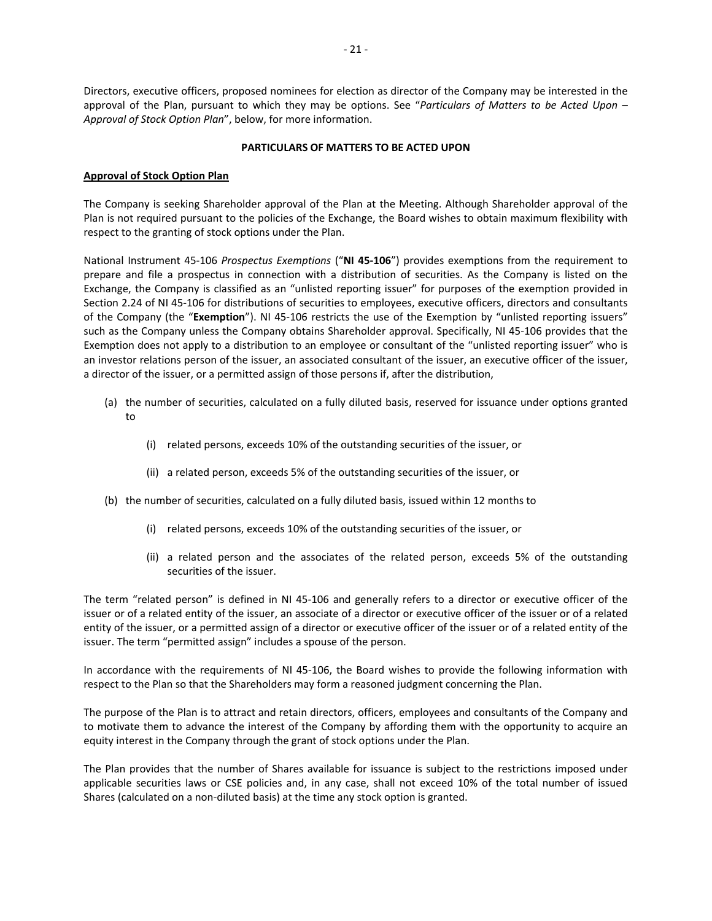Directors, executive officers, proposed nominees for election as director of the Company may be interested in the approval of the Plan, pursuant to which they may be options. See "Particulars of Matters to be Acted Upon – *Approval of Stock Option Plan*", below, for more information.

## **PARTICULARS OF MATTERS TO BE ACTED UPON**

# **Approval of Stock Option Plan**

The Company is seeking Shareholder approval of the Plan at the Meeting. Although Shareholder approval of the Plan is not required pursuant to the policies of the Exchange, the Board wishes to obtain maximum flexibility with respect to the granting of stock options under the Plan.

National Instrument 45‐106 *Prospectus Exemptions* ("**NI 45‐106**") provides exemptions from the requirement to prepare and file a prospectus in connection with a distribution of securities. As the Company is listed on the Exchange, the Company is classified as an "unlisted reporting issuer" for purposes of the exemption provided in Section 2.24 of NI 45-106 for distributions of securities to employees, executive officers, directors and consultants of the Company (the "Exemption"). NI 45-106 restricts the use of the Exemption by "unlisted reporting issuers" such as the Company unless the Company obtains Shareholder approval. Specifically, NI 45-106 provides that the Exemption does not apply to a distribution to an employee or consultant of the "unlisted reporting issuer" who is an investor relations person of the issuer, an associated consultant of the issuer, an executive officer of the issuer, a director of the issuer, or a permitted assign of those persons if, after the distribution,

- (a) the number of securities, calculated on a fully diluted basis, reserved for issuance under options granted to
	- (i) related persons, exceeds 10% of the outstanding securities of the issuer, or
	- (ii) a related person, exceeds 5% of the outstanding securities of the issuer, or
- (b) the number of securities, calculated on a fully diluted basis, issued within 12 months to
	- (i) related persons, exceeds 10% of the outstanding securities of the issuer, or
	- (ii) a related person and the associates of the related person, exceeds 5% of the outstanding securities of the issuer.

The term "related person" is defined in NI 45-106 and generally refers to a director or executive officer of the issuer or of a related entity of the issuer, an associate of a director or executive officer of the issuer or of a related entity of the issuer, or a permitted assign of a director or executive officer of the issuer or of a related entity of the issuer. The term "permitted assign" includes a spouse of the person.

In accordance with the requirements of NI 45-106, the Board wishes to provide the following information with respect to the Plan so that the Shareholders may form a reasoned judgment concerning the Plan.

The purpose of the Plan is to attract and retain directors, officers, employees and consultants of the Company and to motivate them to advance the interest of the Company by affording them with the opportunity to acquire an equity interest in the Company through the grant of stock options under the Plan.

The Plan provides that the number of Shares available for issuance is subject to the restrictions imposed under applicable securities laws or CSE policies and, in any case, shall not exceed 10% of the total number of issued Shares (calculated on a non‐diluted basis) at the time any stock option is granted.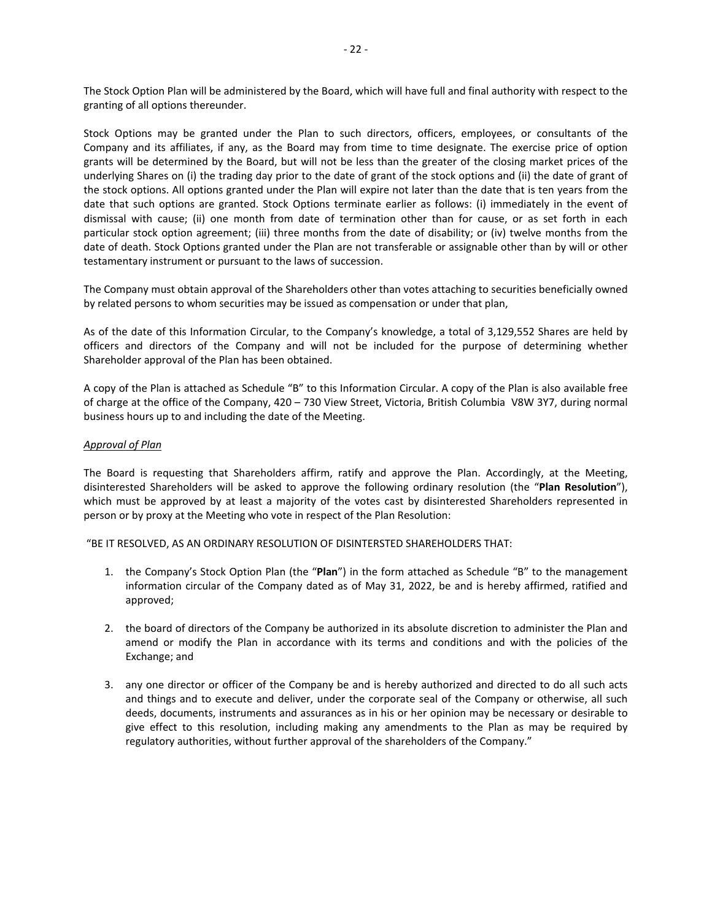The Stock Option Plan will be administered by the Board, which will have full and final authority with respect to the granting of all options thereunder.

Stock Options may be granted under the Plan to such directors, officers, employees, or consultants of the Company and its affiliates, if any, as the Board may from time to time designate. The exercise price of option grants will be determined by the Board, but will not be less than the greater of the closing market prices of the underlying Shares on (i) the trading day prior to the date of grant of the stock options and (ii) the date of grant of the stock options. All options granted under the Plan will expire not later than the date that is ten years from the date that such options are granted. Stock Options terminate earlier as follows: (i) immediately in the event of dismissal with cause; (ii) one month from date of termination other than for cause, or as set forth in each particular stock option agreement; (iii) three months from the date of disability; or (iv) twelve months from the date of death. Stock Options granted under the Plan are not transferable or assignable other than by will or other testamentary instrument or pursuant to the laws of succession.

The Company must obtain approval of the Shareholders other than votes attaching to securities beneficially owned by related persons to whom securities may be issued as compensation or under that plan,

As of the date of this Information Circular, to the Company's knowledge, a total of 3,129,552 Shares are held by officers and directors of the Company and will not be included for the purpose of determining whether Shareholder approval of the Plan has been obtained.

A copy of the Plan is attached as Schedule "B" to this Information Circular. A copy of the Plan is also available free of charge at the office of the Company, 420 – 730 View Street, Victoria, British Columbia V8W 3Y7, during normal business hours up to and including the date of the Meeting.

#### *Approval of Plan*

The Board is requesting that Shareholders affirm, ratify and approve the Plan. Accordingly, at the Meeting, disinterested Shareholders will be asked to approve the following ordinary resolution (the "**Plan Resolution**"), which must be approved by at least a majority of the votes cast by disinterested Shareholders represented in person or by proxy at the Meeting who vote in respect of the Plan Resolution:

"BE IT RESOLVED, AS AN ORDINARY RESOLUTION OF DISINTERSTED SHAREHOLDERS THAT:

- 1. the Company's Stock Option Plan (the "**Plan**") in the form attached as Schedule "B" to the management information circular of the Company dated as of May 31, 2022, be and is hereby affirmed, ratified and approved;
- 2. the board of directors of the Company be authorized in its absolute discretion to administer the Plan and amend or modify the Plan in accordance with its terms and conditions and with the policies of the Exchange; and
- 3. any one director or officer of the Company be and is hereby authorized and directed to do all such acts and things and to execute and deliver, under the corporate seal of the Company or otherwise, all such deeds, documents, instruments and assurances as in his or her opinion may be necessary or desirable to give effect to this resolution, including making any amendments to the Plan as may be required by regulatory authorities, without further approval of the shareholders of the Company."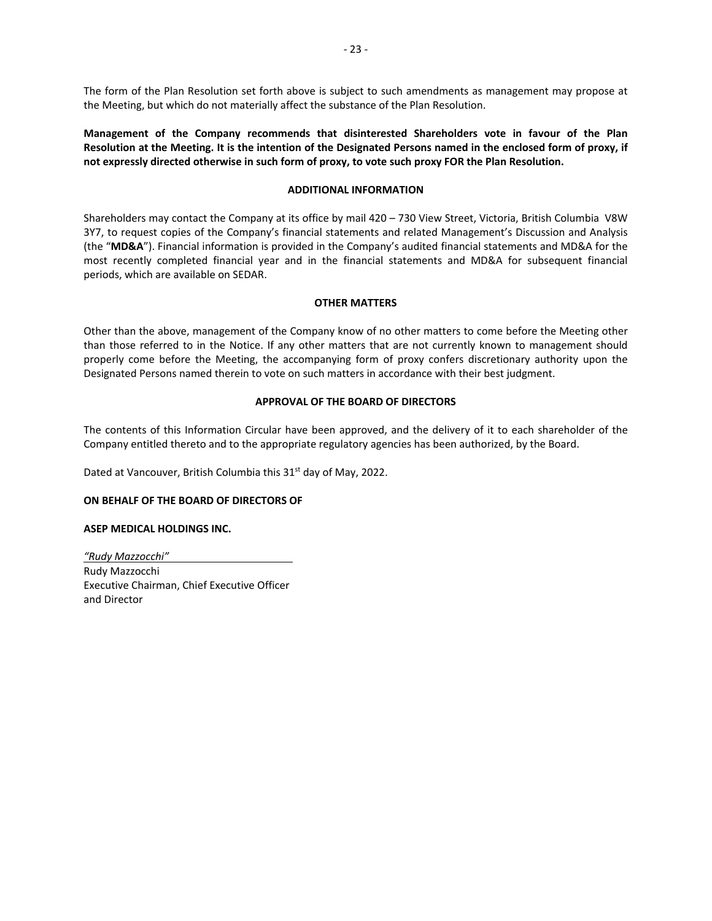The form of the Plan Resolution set forth above is subject to such amendments as management may propose at the Meeting, but which do not materially affect the substance of the Plan Resolution.

**Management of the Company recommends that disinterested Shareholders vote in favour of the Plan Resolution at the Meeting. It is the intention of the Designated Persons named in the enclosed form of proxy, if not expressly directed otherwise in such form of proxy, to vote such proxy FOR the Plan Resolution.** 

## **ADDITIONAL INFORMATION**

Shareholders may contact the Company at its office by mail 420 – 730 View Street, Victoria, British Columbia V8W 3Y7, to request copies of the Company's financial statements and related Management's Discussion and Analysis (the "**MD&A**"). Financial information is provided in the Company's audited financial statements and MD&A for the most recently completed financial year and in the financial statements and MD&A for subsequent financial periods, which are available on SEDAR.

## **OTHER MATTERS**

Other than the above, management of the Company know of no other matters to come before the Meeting other than those referred to in the Notice. If any other matters that are not currently known to management should properly come before the Meeting, the accompanying form of proxy confers discretionary authority upon the Designated Persons named therein to vote on such matters in accordance with their best judgment.

# **APPROVAL OF THE BOARD OF DIRECTORS**

The contents of this Information Circular have been approved, and the delivery of it to each shareholder of the Company entitled thereto and to the appropriate regulatory agencies has been authorized, by the Board.

Dated at Vancouver, British Columbia this 31<sup>st</sup> day of May, 2022.

#### **ON BEHALF OF THE BOARD OF DIRECTORS OF**

#### **ASEP MEDICAL HOLDINGS INC.**

*"Rudy Mazzocchi"*  Rudy Mazzocchi Executive Chairman, Chief Executive Officer and Director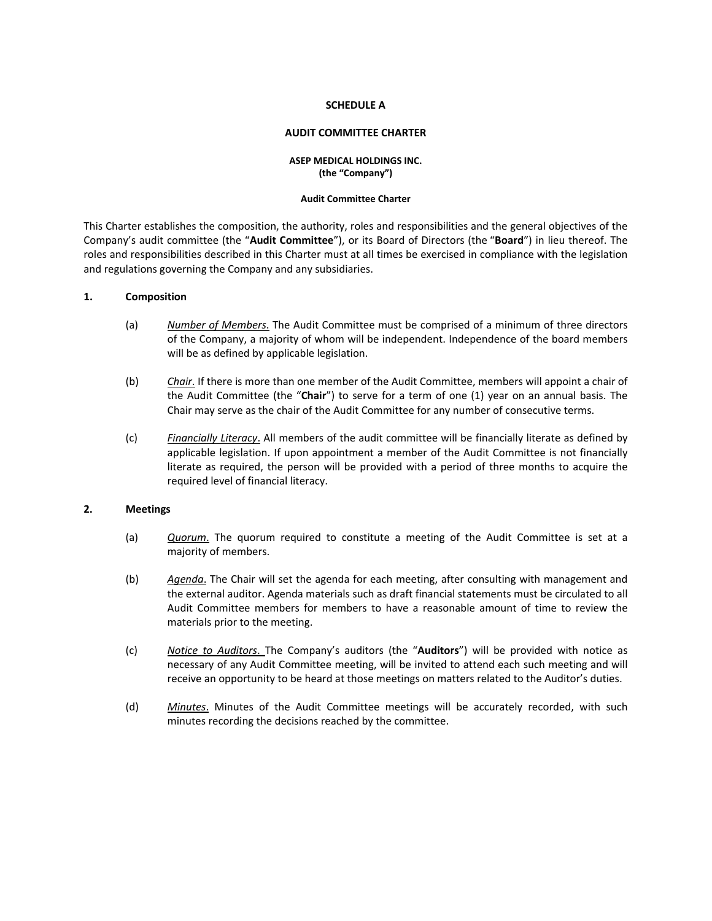#### **SCHEDULE A**

### **AUDIT COMMITTEE CHARTER**

## **ASEP MEDICAL HOLDINGS INC. (the "Company")**

#### **Audit Committee Charter**

This Charter establishes the composition, the authority, roles and responsibilities and the general objectives of the Company's audit committee (the "**Audit Committee**"), or its Board of Directors (the "**Board**") in lieu thereof. The roles and responsibilities described in this Charter must at all times be exercised in compliance with the legislation and regulations governing the Company and any subsidiaries.

#### **1. Composition**

- (a) *Number of Members*. The Audit Committee must be comprised of a minimum of three directors of the Company, a majority of whom will be independent. Independence of the board members will be as defined by applicable legislation.
- (b) *Chair*. If there is more than one member of the Audit Committee, members will appoint a chair of the Audit Committee (the "**Chair**") to serve for a term of one (1) year on an annual basis. The Chair may serve as the chair of the Audit Committee for any number of consecutive terms.
- (c) *Financially Literacy*. All members of the audit committee will be financially literate as defined by applicable legislation. If upon appointment a member of the Audit Committee is not financially literate as required, the person will be provided with a period of three months to acquire the required level of financial literacy.

#### **2. Meetings**

- (a) *Quorum*. The quorum required to constitute a meeting of the Audit Committee is set at a majority of members.
- (b) *Agenda*. The Chair will set the agenda for each meeting, after consulting with management and the external auditor. Agenda materials such as draft financial statements must be circulated to all Audit Committee members for members to have a reasonable amount of time to review the materials prior to the meeting.
- (c) *Notice to Auditors*. The Company's auditors (the "**Auditors**") will be provided with notice as necessary of any Audit Committee meeting, will be invited to attend each such meeting and will receive an opportunity to be heard at those meetings on matters related to the Auditor's duties.
- (d) *Minutes*. Minutes of the Audit Committee meetings will be accurately recorded, with such minutes recording the decisions reached by the committee.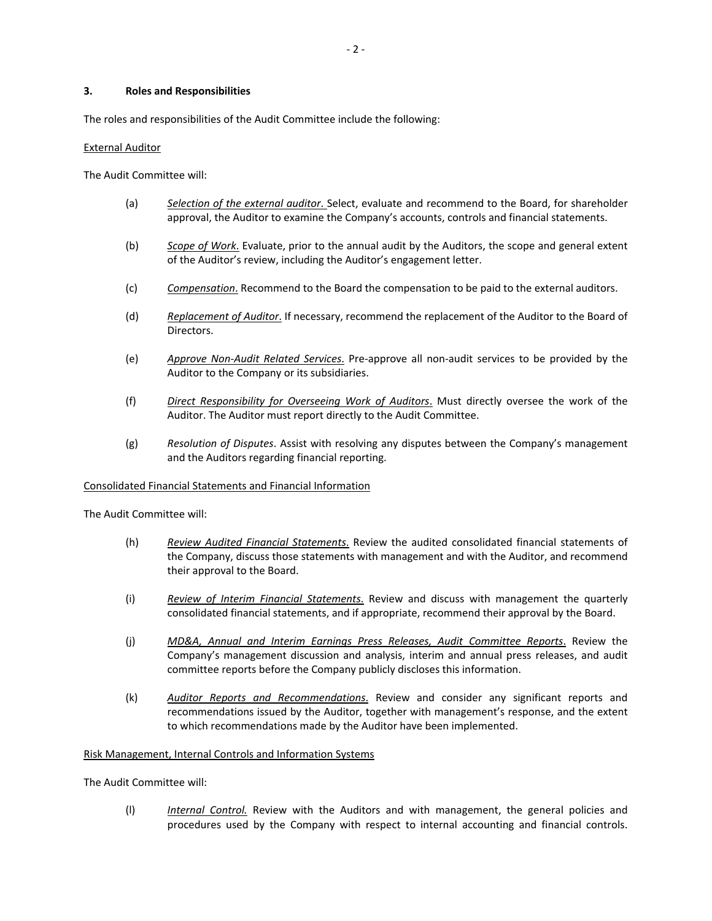## **3. Roles and Responsibilities**

The roles and responsibilities of the Audit Committee include the following:

## External Auditor

The Audit Committee will:

- (a) *Selection of the external auditor*. Select, evaluate and recommend to the Board, for shareholder approval, the Auditor to examine the Company's accounts, controls and financial statements.
- (b) *Scope of Work*. Evaluate, prior to the annual audit by the Auditors, the scope and general extent of the Auditor's review, including the Auditor's engagement letter.
- (c) *Compensation*. Recommend to the Board the compensation to be paid to the external auditors.
- (d) *Replacement of Auditor*. If necessary, recommend the replacement of the Auditor to the Board of Directors.
- (e) *Approve Non‐Audit Related Services*. Pre‐approve all non‐audit services to be provided by the Auditor to the Company or its subsidiaries.
- (f) *Direct Responsibility for Overseeing Work of Auditors*. Must directly oversee the work of the Auditor. The Auditor must report directly to the Audit Committee.
- (g) *Resolution of Disputes*. Assist with resolving any disputes between the Company's management and the Auditors regarding financial reporting.

#### Consolidated Financial Statements and Financial Information

The Audit Committee will:

- (h) *Review Audited Financial Statements*. Review the audited consolidated financial statements of the Company, discuss those statements with management and with the Auditor, and recommend their approval to the Board.
- (i) *Review of Interim Financial Statements*. Review and discuss with management the quarterly consolidated financial statements, and if appropriate, recommend their approval by the Board.
- (j) *MD&A, Annual and Interim Earnings Press Releases, Audit Committee Reports*. Review the Company's management discussion and analysis, interim and annual press releases, and audit committee reports before the Company publicly discloses this information.
- (k) *Auditor Reports and Recommendations*. Review and consider any significant reports and recommendations issued by the Auditor, together with management's response, and the extent to which recommendations made by the Auditor have been implemented.

#### Risk Management, Internal Controls and Information Systems

The Audit Committee will:

(l) *Internal Control.* Review with the Auditors and with management, the general policies and procedures used by the Company with respect to internal accounting and financial controls.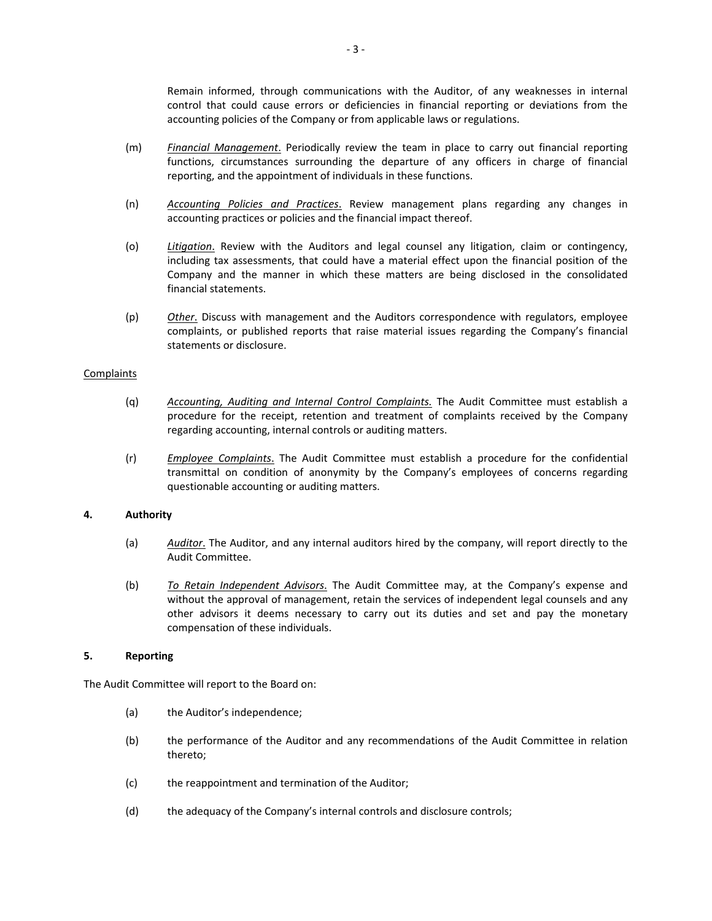Remain informed, through communications with the Auditor, of any weaknesses in internal control that could cause errors or deficiencies in financial reporting or deviations from the accounting policies of the Company or from applicable laws or regulations.

- (m) *Financial Management*. Periodically review the team in place to carry out financial reporting functions, circumstances surrounding the departure of any officers in charge of financial reporting, and the appointment of individuals in these functions.
- (n) *Accounting Policies and Practices*. Review management plans regarding any changes in accounting practices or policies and the financial impact thereof.
- (o) *Litigation*. Review with the Auditors and legal counsel any litigation, claim or contingency, including tax assessments, that could have a material effect upon the financial position of the Company and the manner in which these matters are being disclosed in the consolidated financial statements.
- (p) *Other*. Discuss with management and the Auditors correspondence with regulators, employee complaints, or published reports that raise material issues regarding the Company's financial statements or disclosure.

#### **Complaints**

- (q) *Accounting, Auditing and Internal Control Complaints.* The Audit Committee must establish a procedure for the receipt, retention and treatment of complaints received by the Company regarding accounting, internal controls or auditing matters.
- (r) *Employee Complaints*. The Audit Committee must establish a procedure for the confidential transmittal on condition of anonymity by the Company's employees of concerns regarding questionable accounting or auditing matters.

#### **4. Authority**

- (a) *Auditor*. The Auditor, and any internal auditors hired by the company, will report directly to the Audit Committee.
- (b) *To Retain Independent Advisors*. The Audit Committee may, at the Company's expense and without the approval of management, retain the services of independent legal counsels and any other advisors it deems necessary to carry out its duties and set and pay the monetary compensation of these individuals.

#### **5. Reporting**

The Audit Committee will report to the Board on:

- (a) the Auditor's independence;
- (b) the performance of the Auditor and any recommendations of the Audit Committee in relation thereto;
- (c) the reappointment and termination of the Auditor;
- (d) the adequacy of the Company's internal controls and disclosure controls;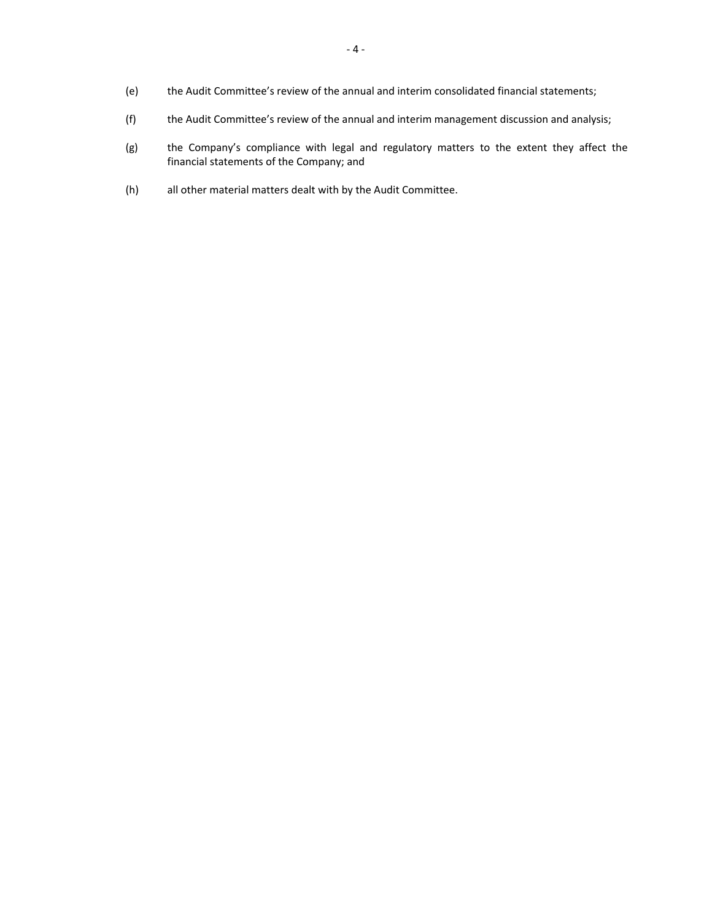- (e) the Audit Committee's review of the annual and interim consolidated financial statements;
- (f) the Audit Committee's review of the annual and interim management discussion and analysis;
- (g) the Company's compliance with legal and regulatory matters to the extent they affect the financial statements of the Company; and
- (h) all other material matters dealt with by the Audit Committee.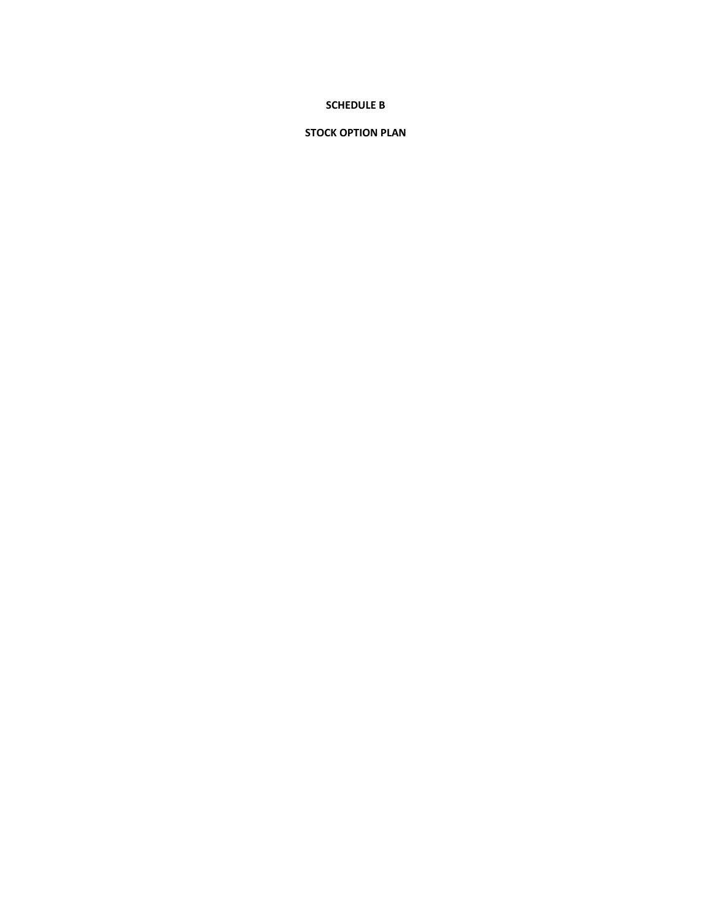# **SCHEDULE B**

# **STOCK OPTION PLAN**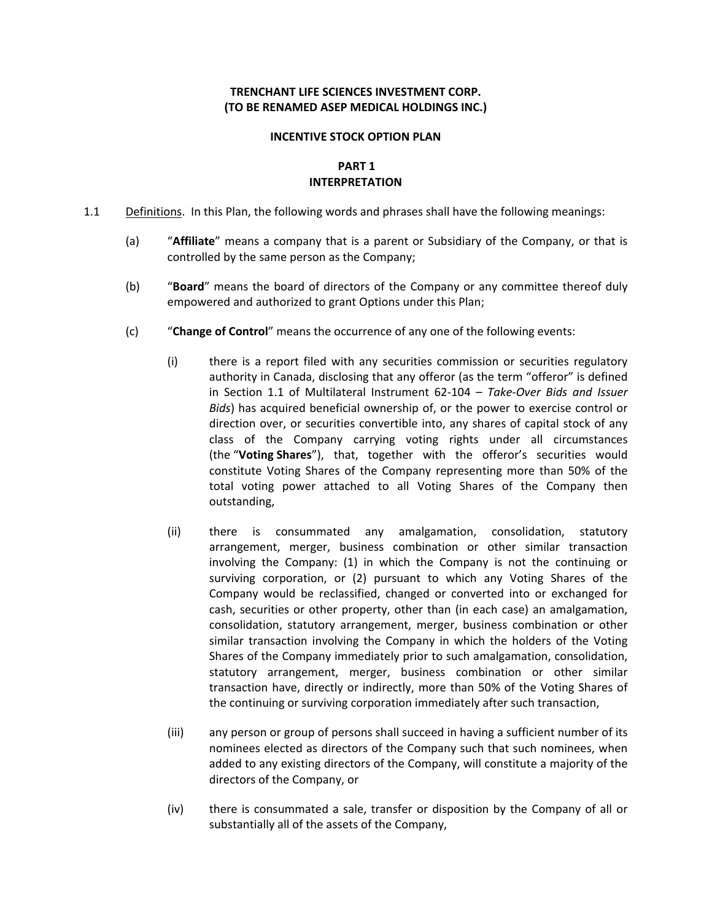# **TRENCHANT LIFE SCIENCES INVESTMENT CORP. (TO BE RENAMED ASEP MEDICAL HOLDINGS INC.)**

# **INCENTIVE STOCK OPTION PLAN**

# **PART 1 INTERPRETATION**

- 1.1 Definitions. In this Plan, the following words and phrases shall have the following meanings:
	- (a) "**Affiliate**" means a company that is a parent or Subsidiary of the Company, or that is controlled by the same person as the Company;
	- (b) "**Board**" means the board of directors of the Company or any committee thereof duly empowered and authorized to grant Options under this Plan;
	- (c) "**Change of Control**" means the occurrence of any one of the following events:
		- (i) there is a report filed with any securities commission or securities regulatory authority in Canada, disclosing that any offeror (as the term "offeror" is defined in Section 1.1 of Multilateral Instrument 62‐104 – *Take‐Over Bids and Issuer Bids*) has acquired beneficial ownership of, or the power to exercise control or direction over, or securities convertible into, any shares of capital stock of any class of the Company carrying voting rights under all circumstances (the "**Voting Shares**"), that, together with the offeror's securities would constitute Voting Shares of the Company representing more than 50% of the total voting power attached to all Voting Shares of the Company then outstanding,
		- (ii) there is consummated any amalgamation, consolidation, statutory arrangement, merger, business combination or other similar transaction involving the Company: (1) in which the Company is not the continuing or surviving corporation, or (2) pursuant to which any Voting Shares of the Company would be reclassified, changed or converted into or exchanged for cash, securities or other property, other than (in each case) an amalgamation, consolidation, statutory arrangement, merger, business combination or other similar transaction involving the Company in which the holders of the Voting Shares of the Company immediately prior to such amalgamation, consolidation, statutory arrangement, merger, business combination or other similar transaction have, directly or indirectly, more than 50% of the Voting Shares of the continuing or surviving corporation immediately after such transaction,
		- (iii) any person or group of persons shall succeed in having a sufficient number of its nominees elected as directors of the Company such that such nominees, when added to any existing directors of the Company, will constitute a majority of the directors of the Company, or
		- (iv) there is consummated a sale, transfer or disposition by the Company of all or substantially all of the assets of the Company,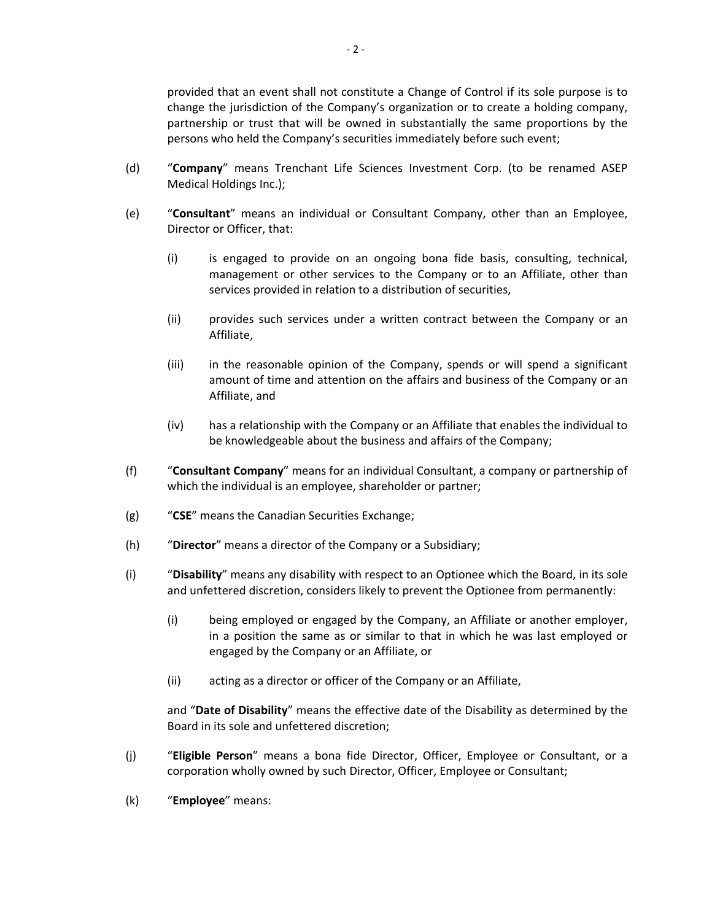provided that an event shall not constitute a Change of Control if its sole purpose is to change the jurisdiction of the Company's organization or to create a holding company, partnership or trust that will be owned in substantially the same proportions by the persons who held the Company's securities immediately before such event;

- (d) "**Company**" means Trenchant Life Sciences Investment Corp. (to be renamed ASEP Medical Holdings Inc.);
- (e) "**Consultant**" means an individual or Consultant Company, other than an Employee, Director or Officer, that:
	- (i) is engaged to provide on an ongoing bona fide basis, consulting, technical, management or other services to the Company or to an Affiliate, other than services provided in relation to a distribution of securities,
	- (ii) provides such services under a written contract between the Company or an Affiliate,
	- (iii) in the reasonable opinion of the Company, spends or will spend a significant amount of time and attention on the affairs and business of the Company or an Affiliate, and
	- (iv) has a relationship with the Company or an Affiliate that enables the individual to be knowledgeable about the business and affairs of the Company;
- (f) "**Consultant Company**" means for an individual Consultant, a company or partnership of which the individual is an employee, shareholder or partner;
- (g) "**CSE**" means the Canadian Securities Exchange;
- (h) "**Director**" means a director of the Company or a Subsidiary;
- (i) "**Disability**" means any disability with respect to an Optionee which the Board, in its sole and unfettered discretion, considers likely to prevent the Optionee from permanently:
	- (i) being employed or engaged by the Company, an Affiliate or another employer, in a position the same as or similar to that in which he was last employed or engaged by the Company or an Affiliate, or
	- (ii) acting as a director or officer of the Company or an Affiliate,

and "**Date of Disability**" means the effective date of the Disability as determined by the Board in its sole and unfettered discretion;

- (j) "**Eligible Person**" means a bona fide Director, Officer, Employee or Consultant, or a corporation wholly owned by such Director, Officer, Employee or Consultant;
- (k) "**Employee**" means: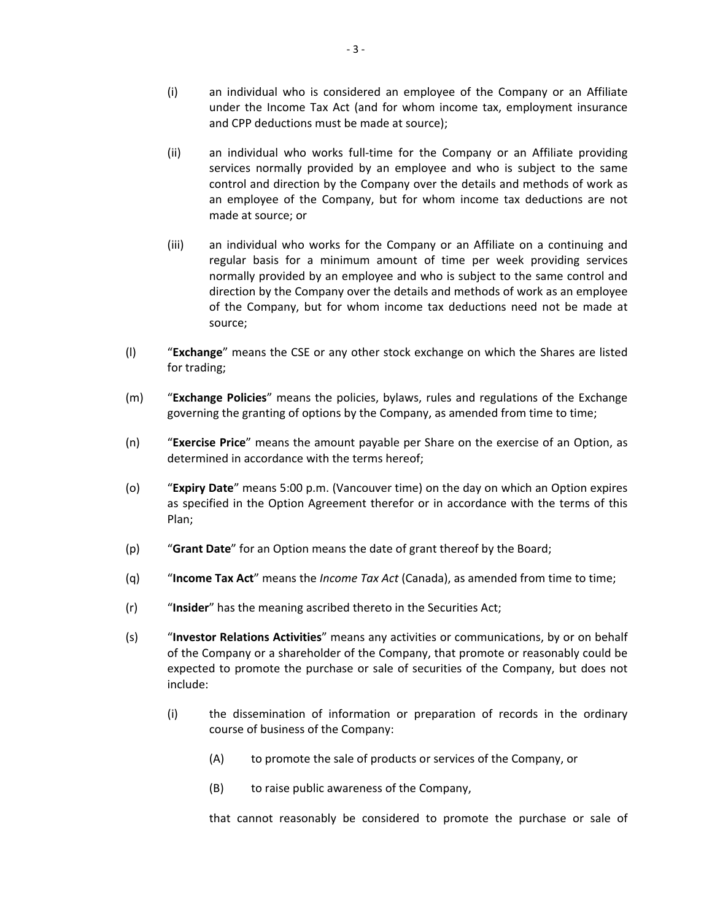- (i) an individual who is considered an employee of the Company or an Affiliate under the Income Tax Act (and for whom income tax, employment insurance and CPP deductions must be made at source);
- (ii) an individual who works full‐time for the Company or an Affiliate providing services normally provided by an employee and who is subject to the same control and direction by the Company over the details and methods of work as an employee of the Company, but for whom income tax deductions are not made at source; or
- (iii) an individual who works for the Company or an Affiliate on a continuing and regular basis for a minimum amount of time per week providing services normally provided by an employee and who is subject to the same control and direction by the Company over the details and methods of work as an employee of the Company, but for whom income tax deductions need not be made at source;
- (l) "**Exchange**" means the CSE or any other stock exchange on which the Shares are listed for trading;
- (m) "**Exchange Policies**" means the policies, bylaws, rules and regulations of the Exchange governing the granting of options by the Company, as amended from time to time;
- (n) "**Exercise Price**" means the amount payable per Share on the exercise of an Option, as determined in accordance with the terms hereof;
- (o) "**Expiry Date**" means 5:00 p.m. (Vancouver time) on the day on which an Option expires as specified in the Option Agreement therefor or in accordance with the terms of this Plan;
- (p) "**Grant Date**" for an Option means the date of grant thereof by the Board;
- (q) "**Income Tax Act**" means the *Income Tax Act* (Canada), as amended from time to time;
- (r) "**Insider**" has the meaning ascribed thereto in the Securities Act;
- (s) "**Investor Relations Activities**" means any activities or communications, by or on behalf of the Company or a shareholder of the Company, that promote or reasonably could be expected to promote the purchase or sale of securities of the Company, but does not include:
	- (i) the dissemination of information or preparation of records in the ordinary course of business of the Company:
		- (A) to promote the sale of products or services of the Company, or
		- (B) to raise public awareness of the Company,

that cannot reasonably be considered to promote the purchase or sale of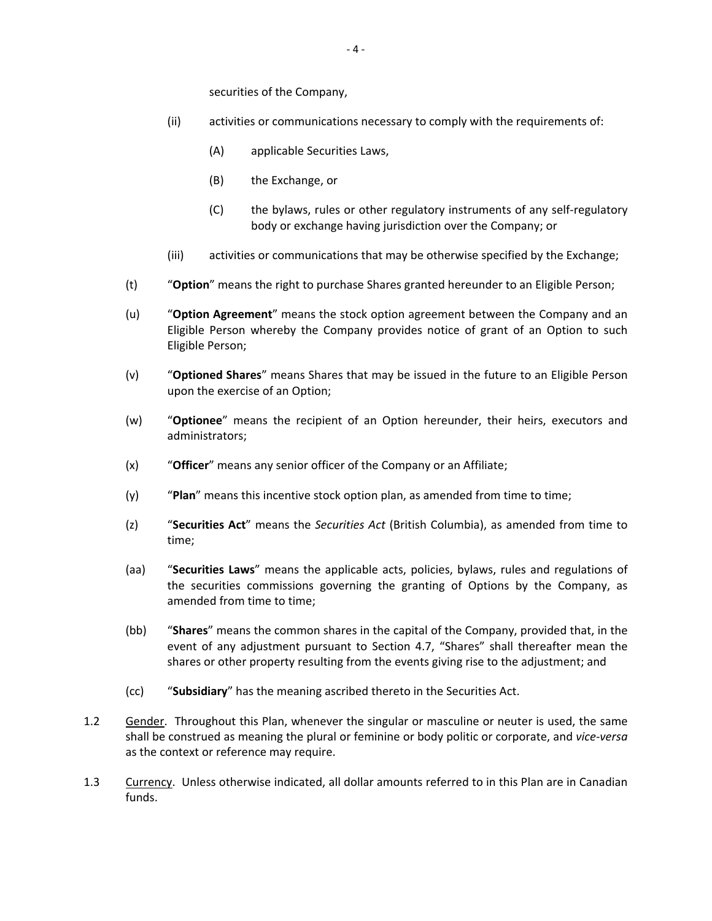securities of the Company,

- (ii) activities or communications necessary to comply with the requirements of:
	- (A) applicable Securities Laws,
	- (B) the Exchange, or
	- (C) the bylaws, rules or other regulatory instruments of any self‐regulatory body or exchange having jurisdiction over the Company; or
- (iii) activities or communications that may be otherwise specified by the Exchange;
- (t) "**Option**" means the right to purchase Shares granted hereunder to an Eligible Person;
- (u) "**Option Agreement**" means the stock option agreement between the Company and an Eligible Person whereby the Company provides notice of grant of an Option to such Eligible Person;
- (v) "**Optioned Shares**" means Shares that may be issued in the future to an Eligible Person upon the exercise of an Option;
- (w) "**Optionee**" means the recipient of an Option hereunder, their heirs, executors and administrators;
- (x) "**Officer**" means any senior officer of the Company or an Affiliate;
- (y) "**Plan**" means this incentive stock option plan, as amended from time to time;
- (z) "**Securities Act**" means the *Securities Act* (British Columbia), as amended from time to time;
- (aa) "**Securities Laws**" means the applicable acts, policies, bylaws, rules and regulations of the securities commissions governing the granting of Options by the Company, as amended from time to time;
- (bb) "**Shares**" means the common shares in the capital of the Company, provided that, in the event of any adjustment pursuant to Section 4.7, "Shares" shall thereafter mean the shares or other property resulting from the events giving rise to the adjustment; and
- (cc) "**Subsidiary**" has the meaning ascribed thereto in the Securities Act.
- 1.2 Gender. Throughout this Plan, whenever the singular or masculine or neuter is used, the same shall be construed as meaning the plural or feminine or body politic or corporate, and *vice‐versa* as the context or reference may require.
- 1.3 Currency. Unless otherwise indicated, all dollar amounts referred to in this Plan are in Canadian funds.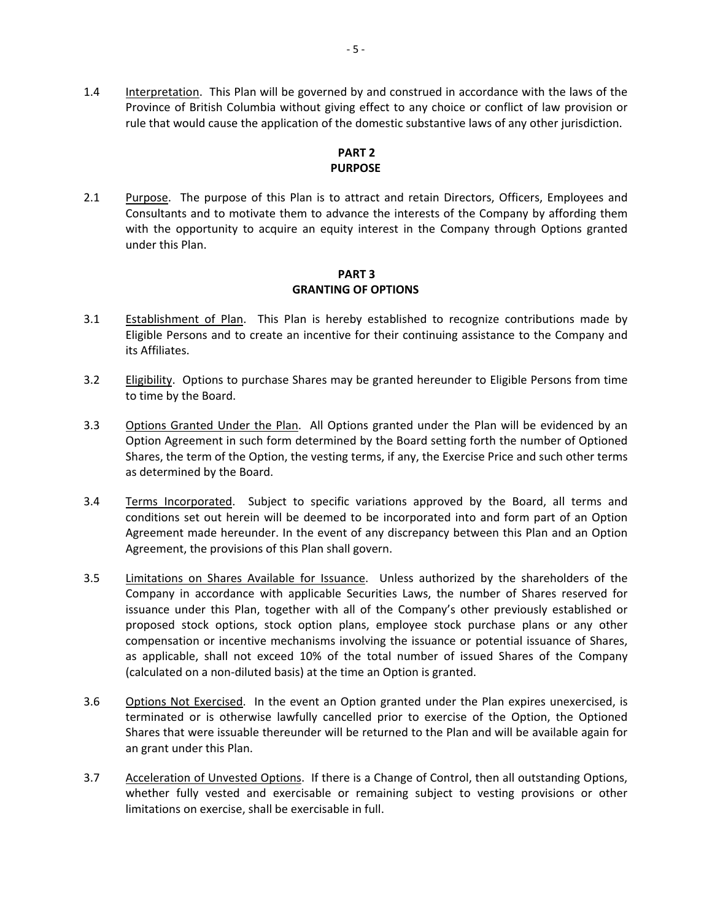1.4 Interpretation. This Plan will be governed by and construed in accordance with the laws of the Province of British Columbia without giving effect to any choice or conflict of law provision or rule that would cause the application of the domestic substantive laws of any other jurisdiction.

# **PART 2 PURPOSE**

2.1 Purpose. The purpose of this Plan is to attract and retain Directors, Officers, Employees and Consultants and to motivate them to advance the interests of the Company by affording them with the opportunity to acquire an equity interest in the Company through Options granted under this Plan.

# **PART 3 GRANTING OF OPTIONS**

- 3.1 Establishment of Plan. This Plan is hereby established to recognize contributions made by Eligible Persons and to create an incentive for their continuing assistance to the Company and its Affiliates.
- 3.2 Eligibility. Options to purchase Shares may be granted hereunder to Eligible Persons from time to time by the Board.
- 3.3 Options Granted Under the Plan. All Options granted under the Plan will be evidenced by an Option Agreement in such form determined by the Board setting forth the number of Optioned Shares, the term of the Option, the vesting terms, if any, the Exercise Price and such other terms as determined by the Board.
- 3.4 Terms Incorporated. Subject to specific variations approved by the Board, all terms and conditions set out herein will be deemed to be incorporated into and form part of an Option Agreement made hereunder. In the event of any discrepancy between this Plan and an Option Agreement, the provisions of this Plan shall govern.
- 3.5 Limitations on Shares Available for Issuance. Unless authorized by the shareholders of the Company in accordance with applicable Securities Laws, the number of Shares reserved for issuance under this Plan, together with all of the Company's other previously established or proposed stock options, stock option plans, employee stock purchase plans or any other compensation or incentive mechanisms involving the issuance or potential issuance of Shares, as applicable, shall not exceed 10% of the total number of issued Shares of the Company (calculated on a non‐diluted basis) at the time an Option is granted.
- 3.6 Options Not Exercised. In the event an Option granted under the Plan expires unexercised, is terminated or is otherwise lawfully cancelled prior to exercise of the Option, the Optioned Shares that were issuable thereunder will be returned to the Plan and will be available again for an grant under this Plan.
- 3.7 Acceleration of Unvested Options. If there is a Change of Control, then all outstanding Options, whether fully vested and exercisable or remaining subject to vesting provisions or other limitations on exercise, shall be exercisable in full.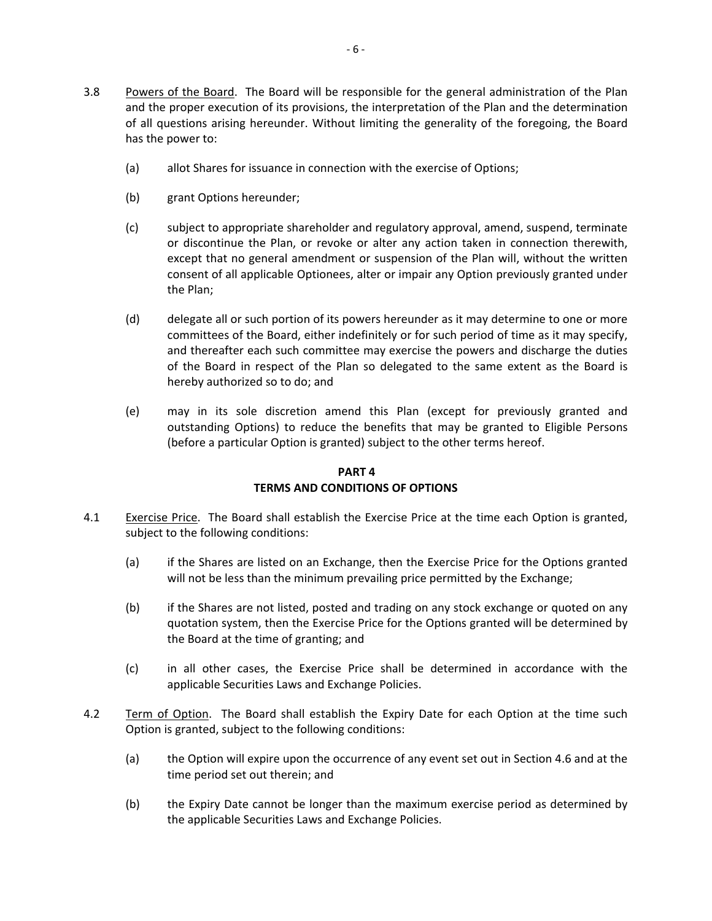- (a) allot Shares for issuance in connection with the exercise of Options;
- (b) grant Options hereunder;
- (c) subject to appropriate shareholder and regulatory approval, amend, suspend, terminate or discontinue the Plan, or revoke or alter any action taken in connection therewith, except that no general amendment or suspension of the Plan will, without the written consent of all applicable Optionees, alter or impair any Option previously granted under the Plan;
- (d) delegate all or such portion of its powers hereunder as it may determine to one or more committees of the Board, either indefinitely or for such period of time as it may specify, and thereafter each such committee may exercise the powers and discharge the duties of the Board in respect of the Plan so delegated to the same extent as the Board is hereby authorized so to do; and
- (e) may in its sole discretion amend this Plan (except for previously granted and outstanding Options) to reduce the benefits that may be granted to Eligible Persons (before a particular Option is granted) subject to the other terms hereof.

# **PART 4 TERMS AND CONDITIONS OF OPTIONS**

- 4.1 Exercise Price. The Board shall establish the Exercise Price at the time each Option is granted, subject to the following conditions:
	- (a) if the Shares are listed on an Exchange, then the Exercise Price for the Options granted will not be less than the minimum prevailing price permitted by the Exchange;
	- (b) if the Shares are not listed, posted and trading on any stock exchange or quoted on any quotation system, then the Exercise Price for the Options granted will be determined by the Board at the time of granting; and
	- (c) in all other cases, the Exercise Price shall be determined in accordance with the applicable Securities Laws and Exchange Policies.
- 4.2 Term of Option. The Board shall establish the Expiry Date for each Option at the time such Option is granted, subject to the following conditions:
	- (a) the Option will expire upon the occurrence of any event set out in Section 4.6 and at the time period set out therein; and
	- (b) the Expiry Date cannot be longer than the maximum exercise period as determined by the applicable Securities Laws and Exchange Policies.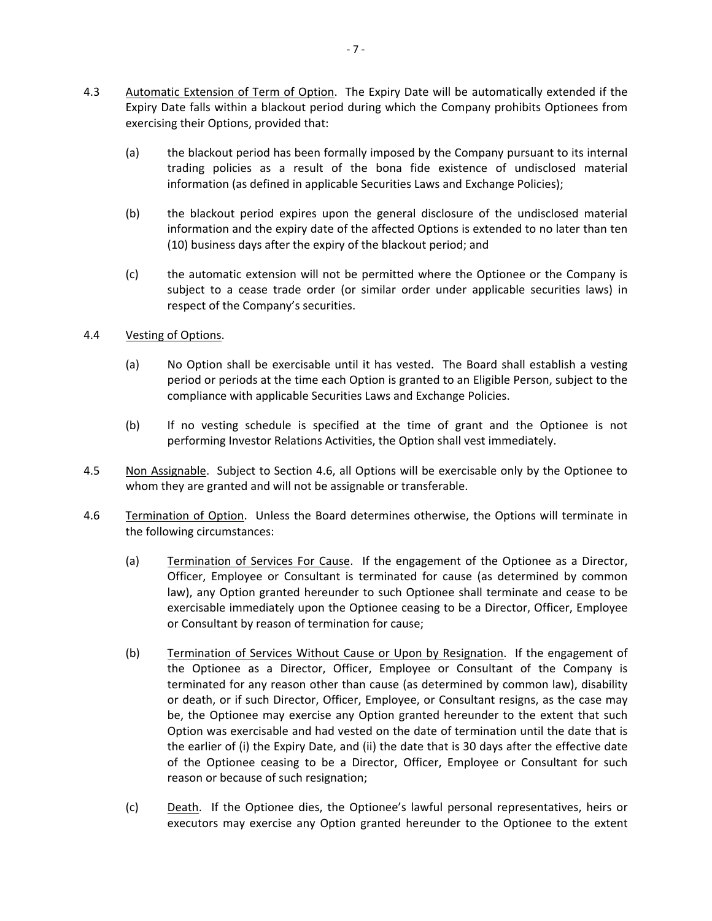- 4.3 Automatic Extension of Term of Option. The Expiry Date will be automatically extended if the Expiry Date falls within a blackout period during which the Company prohibits Optionees from exercising their Options, provided that:
	- (a) the blackout period has been formally imposed by the Company pursuant to its internal trading policies as a result of the bona fide existence of undisclosed material information (as defined in applicable Securities Laws and Exchange Policies);
	- (b) the blackout period expires upon the general disclosure of the undisclosed material information and the expiry date of the affected Options is extended to no later than ten (10) business days after the expiry of the blackout period; and
	- (c) the automatic extension will not be permitted where the Optionee or the Company is subject to a cease trade order (or similar order under applicable securities laws) in respect of the Company's securities.
- 4.4 Vesting of Options.
	- (a) No Option shall be exercisable until it has vested. The Board shall establish a vesting period or periods at the time each Option is granted to an Eligible Person, subject to the compliance with applicable Securities Laws and Exchange Policies.
	- (b) If no vesting schedule is specified at the time of grant and the Optionee is not performing Investor Relations Activities, the Option shall vest immediately.
- 4.5 Non Assignable. Subject to Section 4.6, all Options will be exercisable only by the Optionee to whom they are granted and will not be assignable or transferable.
- 4.6 Termination of Option. Unless the Board determines otherwise, the Options will terminate in the following circumstances:
	- (a) Termination of Services For Cause. If the engagement of the Optionee as a Director, Officer, Employee or Consultant is terminated for cause (as determined by common law), any Option granted hereunder to such Optionee shall terminate and cease to be exercisable immediately upon the Optionee ceasing to be a Director, Officer, Employee or Consultant by reason of termination for cause;
	- (b) Termination of Services Without Cause or Upon by Resignation. If the engagement of the Optionee as a Director, Officer, Employee or Consultant of the Company is terminated for any reason other than cause (as determined by common law), disability or death, or if such Director, Officer, Employee, or Consultant resigns, as the case may be, the Optionee may exercise any Option granted hereunder to the extent that such Option was exercisable and had vested on the date of termination until the date that is the earlier of (i) the Expiry Date, and (ii) the date that is 30 days after the effective date of the Optionee ceasing to be a Director, Officer, Employee or Consultant for such reason or because of such resignation;
	- (c) Death. If the Optionee dies, the Optionee's lawful personal representatives, heirs or executors may exercise any Option granted hereunder to the Optionee to the extent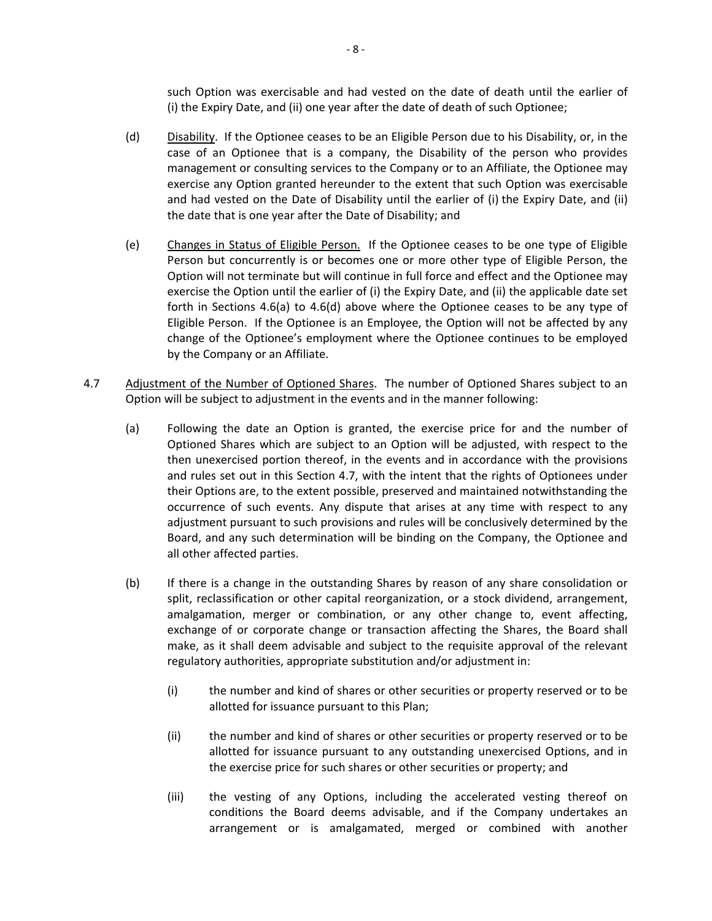such Option was exercisable and had vested on the date of death until the earlier of (i) the Expiry Date, and (ii) one year after the date of death of such Optionee;

- (d) Disability. If the Optionee ceases to be an Eligible Person due to his Disability, or, in the case of an Optionee that is a company, the Disability of the person who provides management or consulting services to the Company or to an Affiliate, the Optionee may exercise any Option granted hereunder to the extent that such Option was exercisable and had vested on the Date of Disability until the earlier of (i) the Expiry Date, and (ii) the date that is one year after the Date of Disability; and
- (e) Changes in Status of Eligible Person. If the Optionee ceases to be one type of Eligible Person but concurrently is or becomes one or more other type of Eligible Person, the Option will not terminate but will continue in full force and effect and the Optionee may exercise the Option until the earlier of (i) the Expiry Date, and (ii) the applicable date set forth in Sections 4.6(a) to 4.6(d) above where the Optionee ceases to be any type of Eligible Person. If the Optionee is an Employee, the Option will not be affected by any change of the Optionee's employment where the Optionee continues to be employed by the Company or an Affiliate.
- 4.7 Adjustment of the Number of Optioned Shares. The number of Optioned Shares subject to an Option will be subject to adjustment in the events and in the manner following:
	- (a) Following the date an Option is granted, the exercise price for and the number of Optioned Shares which are subject to an Option will be adjusted, with respect to the then unexercised portion thereof, in the events and in accordance with the provisions and rules set out in this Section 4.7, with the intent that the rights of Optionees under their Options are, to the extent possible, preserved and maintained notwithstanding the occurrence of such events. Any dispute that arises at any time with respect to any adjustment pursuant to such provisions and rules will be conclusively determined by the Board, and any such determination will be binding on the Company, the Optionee and all other affected parties.
	- (b) If there is a change in the outstanding Shares by reason of any share consolidation or split, reclassification or other capital reorganization, or a stock dividend, arrangement, amalgamation, merger or combination, or any other change to, event affecting, exchange of or corporate change or transaction affecting the Shares, the Board shall make, as it shall deem advisable and subject to the requisite approval of the relevant regulatory authorities, appropriate substitution and/or adjustment in:
		- (i) the number and kind of shares or other securities or property reserved or to be allotted for issuance pursuant to this Plan;
		- (ii) the number and kind of shares or other securities or property reserved or to be allotted for issuance pursuant to any outstanding unexercised Options, and in the exercise price for such shares or other securities or property; and
		- (iii) the vesting of any Options, including the accelerated vesting thereof on conditions the Board deems advisable, and if the Company undertakes an arrangement or is amalgamated, merged or combined with another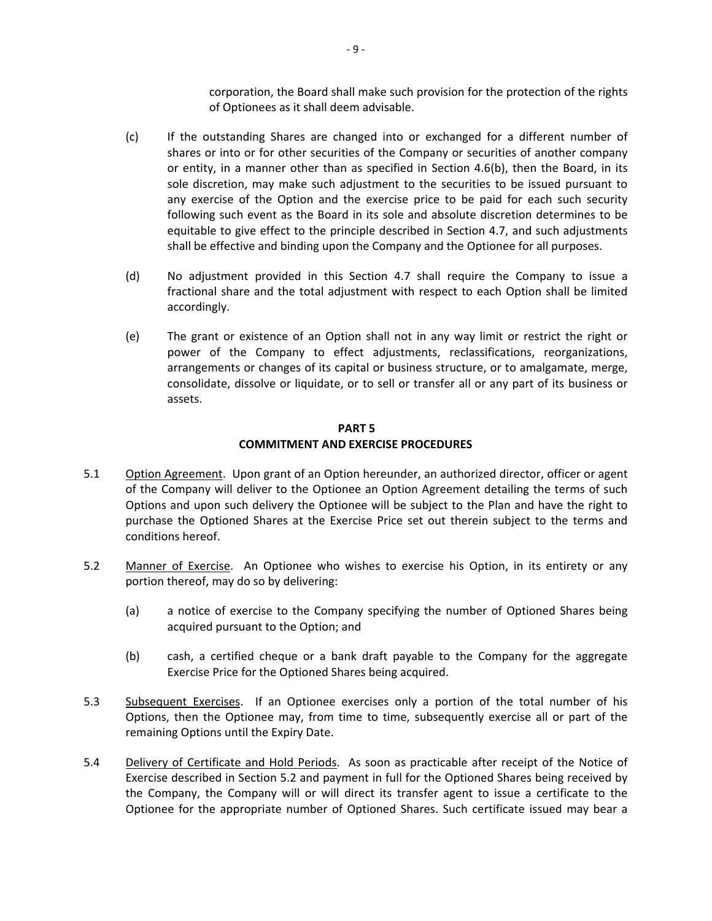corporation, the Board shall make such provision for the protection of the rights of Optionees as it shall deem advisable.

- (c) If the outstanding Shares are changed into or exchanged for a different number of shares or into or for other securities of the Company or securities of another company or entity, in a manner other than as specified in Section  $4.6(b)$ , then the Board, in its sole discretion, may make such adjustment to the securities to be issued pursuant to any exercise of the Option and the exercise price to be paid for each such security following such event as the Board in its sole and absolute discretion determines to be equitable to give effect to the principle described in Section 4.7, and such adjustments shall be effective and binding upon the Company and the Optionee for all purposes.
- (d) No adjustment provided in this Section 4.7 shall require the Company to issue a fractional share and the total adjustment with respect to each Option shall be limited accordingly.
- (e) The grant or existence of an Option shall not in any way limit or restrict the right or power of the Company to effect adjustments, reclassifications, reorganizations, arrangements or changes of its capital or business structure, or to amalgamate, merge, consolidate, dissolve or liquidate, or to sell or transfer all or any part of its business or assets.

# **PART 5 COMMITMENT AND EXERCISE PROCEDURES**

- 5.1 Option Agreement. Upon grant of an Option hereunder, an authorized director, officer or agent of the Company will deliver to the Optionee an Option Agreement detailing the terms of such Options and upon such delivery the Optionee will be subject to the Plan and have the right to purchase the Optioned Shares at the Exercise Price set out therein subject to the terms and conditions hereof.
- 5.2 Manner of Exercise. An Optionee who wishes to exercise his Option, in its entirety or any portion thereof, may do so by delivering:
	- (a) a notice of exercise to the Company specifying the number of Optioned Shares being acquired pursuant to the Option; and
	- (b) cash, a certified cheque or a bank draft payable to the Company for the aggregate Exercise Price for the Optioned Shares being acquired.
- 5.3 Subsequent Exercises. If an Optionee exercises only a portion of the total number of his Options, then the Optionee may, from time to time, subsequently exercise all or part of the remaining Options until the Expiry Date.
- 5.4 Delivery of Certificate and Hold Periods. As soon as practicable after receipt of the Notice of Exercise described in Section 5.2 and payment in full for the Optioned Shares being received by the Company, the Company will or will direct its transfer agent to issue a certificate to the Optionee for the appropriate number of Optioned Shares. Such certificate issued may bear a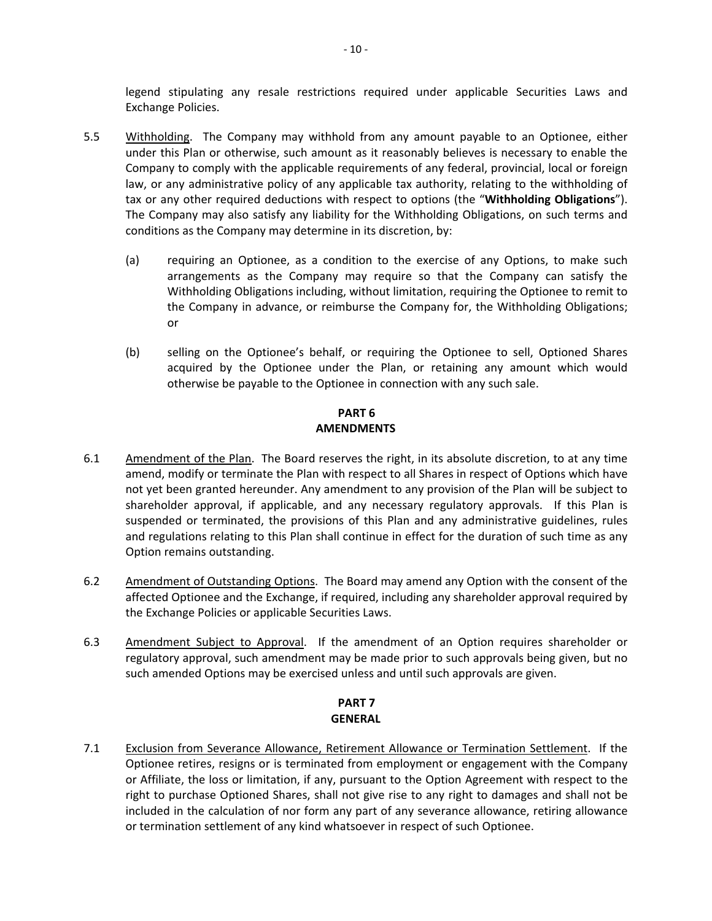legend stipulating any resale restrictions required under applicable Securities Laws and Exchange Policies.

- 5.5 Withholding. The Company may withhold from any amount payable to an Optionee, either under this Plan or otherwise, such amount as it reasonably believes is necessary to enable the Company to comply with the applicable requirements of any federal, provincial, local or foreign law, or any administrative policy of any applicable tax authority, relating to the withholding of tax or any other required deductions with respect to options (the "**Withholding Obligations**"). The Company may also satisfy any liability for the Withholding Obligations, on such terms and conditions as the Company may determine in its discretion, by:
	- (a) requiring an Optionee, as a condition to the exercise of any Options, to make such arrangements as the Company may require so that the Company can satisfy the Withholding Obligations including, without limitation, requiring the Optionee to remit to the Company in advance, or reimburse the Company for, the Withholding Obligations; or
	- (b) selling on the Optionee's behalf, or requiring the Optionee to sell, Optioned Shares acquired by the Optionee under the Plan, or retaining any amount which would otherwise be payable to the Optionee in connection with any such sale.

# **PART 6 AMENDMENTS**

- 6.1 Amendment of the Plan. The Board reserves the right, in its absolute discretion, to at any time amend, modify or terminate the Plan with respect to all Shares in respect of Options which have not yet been granted hereunder. Any amendment to any provision of the Plan will be subject to shareholder approval, if applicable, and any necessary regulatory approvals. If this Plan is suspended or terminated, the provisions of this Plan and any administrative guidelines, rules and regulations relating to this Plan shall continue in effect for the duration of such time as any Option remains outstanding.
- 6.2 Amendment of Outstanding Options. The Board may amend any Option with the consent of the affected Optionee and the Exchange, if required, including any shareholder approval required by the Exchange Policies or applicable Securities Laws.
- 6.3 Amendment Subject to Approval. If the amendment of an Option requires shareholder or regulatory approval, such amendment may be made prior to such approvals being given, but no such amended Options may be exercised unless and until such approvals are given.

# **PART 7 GENERAL**

7.1 Exclusion from Severance Allowance, Retirement Allowance or Termination Settlement. If the Optionee retires, resigns or is terminated from employment or engagement with the Company or Affiliate, the loss or limitation, if any, pursuant to the Option Agreement with respect to the right to purchase Optioned Shares, shall not give rise to any right to damages and shall not be included in the calculation of nor form any part of any severance allowance, retiring allowance or termination settlement of any kind whatsoever in respect of such Optionee.